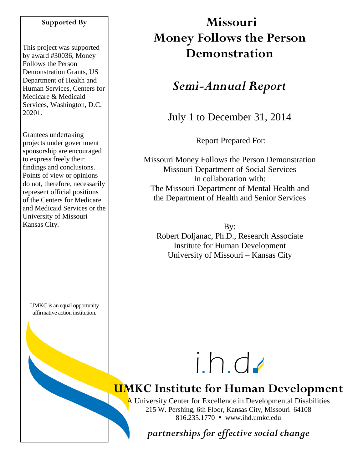#### **Supported By**

This project was supported by award #30036, Money Follows the Person Demonstration Grants, US Department of Health and Human Services, Centers for Medicare & Medicaid Services, Washington, D.C. 20201.

Grantees undertaking projects under government sponsorship are encouraged to express freely their findings and conclusions. Points of view or opinions do not, therefore, necessarily represent official positions of the Centers for Medicare and Medicaid Services or the University of Missouri Kansas City.

UMKC is an equal opportunity affirmative action institution.

# **Missouri Money Follows the Person Demonstration**

## *Semi-Annual Report*

July 1 to December 31, 2014

Report Prepared For:

Missouri Money Follows the Person Demonstration Missouri Department of Social Services In collaboration with: The Missouri Department of Mental Health and the Department of Health and Senior Services

By: Robert Doljanac, Ph.D., Research Associate Institute for Human Development University of Missouri – Kansas City



# **UMKC Institute for Human Development**

A University Center for Excellence in Developmental Disabilities 215 W. Pershing, 6th Floor, Kansas City, Missouri 64108 816.235.1770 www.ihd.umkc.edu

*partnerships for effective social change*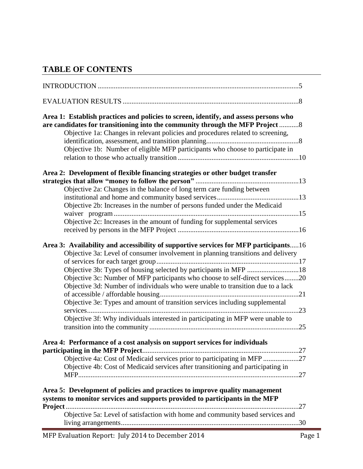## **TABLE OF CONTENTS**

| Area 1: Establish practices and policies to screen, identify, and assess persons who<br>are candidates for transitioning into the community through the MFP Project  8<br>Objective 1a: Changes in relevant policies and procedures related to screening,<br>Objective 1b: Number of eligible MFP participants who choose to participate in                                                                                                                                                                                                                                          |
|--------------------------------------------------------------------------------------------------------------------------------------------------------------------------------------------------------------------------------------------------------------------------------------------------------------------------------------------------------------------------------------------------------------------------------------------------------------------------------------------------------------------------------------------------------------------------------------|
| Area 2: Development of flexible financing strategies or other budget transfer                                                                                                                                                                                                                                                                                                                                                                                                                                                                                                        |
| Objective 2a: Changes in the balance of long term care funding between<br>Objective 2b: Increases in the number of persons funded under the Medicaid<br>Objective 2c: Increases in the amount of funding for supplemental services                                                                                                                                                                                                                                                                                                                                                   |
| Area 3: Availability and accessibility of supportive services for MFP participants16<br>Objective 3a: Level of consumer involvement in planning transitions and delivery<br>Objective 3b: Types of housing selected by participants in MFP 18<br>Objective 3c: Number of MFP participants who choose to self-direct services20<br>Objective 3d: Number of individuals who were unable to transition due to a lack<br>Objective 3e: Types and amount of transition services including supplemental<br>Objective 3f: Why individuals interested in participating in MFP were unable to |
| Area 4: Performance of a cost analysis on support services for individuals<br>Objective 4a: Cost of Medicaid services prior to participating in MFP 27<br>Objective 4b: Cost of Medicaid services after transitioning and participating in                                                                                                                                                                                                                                                                                                                                           |
| Area 5: Development of policies and practices to improve quality management<br>systems to monitor services and supports provided to participants in the MFP                                                                                                                                                                                                                                                                                                                                                                                                                          |
| Objective 5a: Level of satisfaction with home and community based services and                                                                                                                                                                                                                                                                                                                                                                                                                                                                                                       |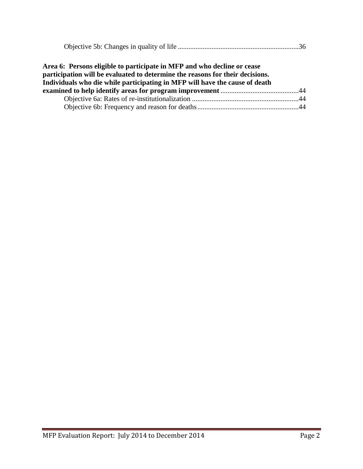|--|

| Area 6: Persons eligible to participate in MFP and who decline or cease<br>participation will be evaluated to determine the reasons for their decisions. |  |
|----------------------------------------------------------------------------------------------------------------------------------------------------------|--|
| Individuals who die while participating in MFP will have the cause of death                                                                              |  |
|                                                                                                                                                          |  |
|                                                                                                                                                          |  |
|                                                                                                                                                          |  |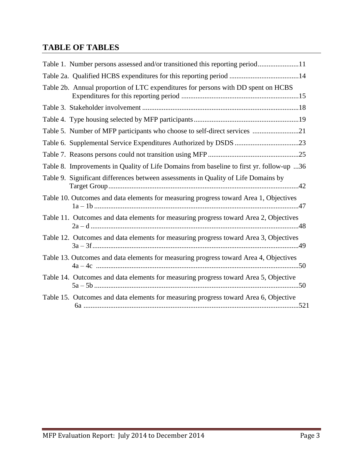## **TABLE OF TABLES**

| Table 1. Number persons assessed and/or transitioned this reporting period11             |
|------------------------------------------------------------------------------------------|
|                                                                                          |
| Table 2b. Annual proportion of LTC expenditures for persons with DD spent on HCBS        |
|                                                                                          |
|                                                                                          |
| Table 5. Number of MFP participants who choose to self-direct services 21                |
|                                                                                          |
|                                                                                          |
| Table 8. Improvements in Quality of Life Domains from baseline to first yr. follow-up 36 |
| Table 9. Significant differences between assessments in Quality of Life Domains by       |
| Table 10. Outcomes and data elements for measuring progress toward Area 1, Objectives    |
| Table 11. Outcomes and data elements for measuring progress toward Area 2, Objectives    |
| Table 12. Outcomes and data elements for measuring progress toward Area 3, Objectives    |
| Table 13. Outcomes and data elements for measuring progress toward Area 4, Objectives    |
| Table 14. Outcomes and data elements for measuring progress toward Area 5, Objective     |
| Table 15. Outcomes and data elements for measuring progress toward Area 6, Objective     |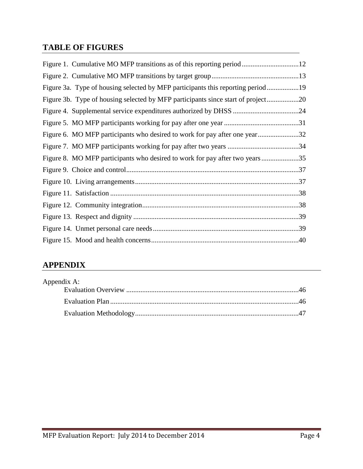## **TABLE OF FIGURES**

| Figure 3a. Type of housing selected by MFP participants this reporting period19  |  |
|----------------------------------------------------------------------------------|--|
| Figure 3b. Type of housing selected by MFP participants since start of project20 |  |
|                                                                                  |  |
|                                                                                  |  |
| Figure 6. MO MFP participants who desired to work for pay after one year32       |  |
|                                                                                  |  |
| Figure 8. MO MFP participants who desired to work for pay after two years35      |  |
|                                                                                  |  |
|                                                                                  |  |
|                                                                                  |  |
|                                                                                  |  |
|                                                                                  |  |
|                                                                                  |  |
|                                                                                  |  |

## **APPENDIX**

| Appendix A: |  |
|-------------|--|
|             |  |
|             |  |
|             |  |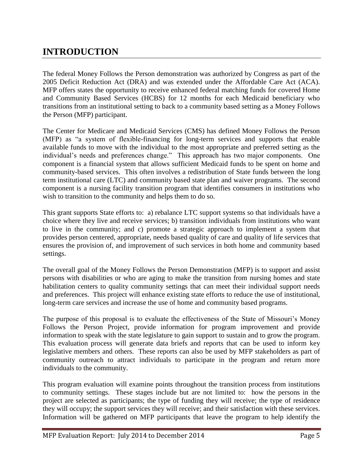## **INTRODUCTION**

The federal Money Follows the Person demonstration was authorized by Congress as part of the 2005 Deficit Reduction Act (DRA) and was extended under the Affordable Care Act (ACA). MFP offers states the opportunity to receive enhanced federal matching funds for covered Home and Community Based Services (HCBS) for 12 months for each Medicaid beneficiary who transitions from an institutional setting to back to a community based setting as a Money Follows the Person (MFP) participant.

The Center for Medicare and Medicaid Services (CMS) has defined Money Follows the Person (MFP) as "a system of flexible-financing for long-term services and supports that enable available funds to move with the individual to the most appropriate and preferred setting as the individual's needs and preferences change." This approach has two major components. One component is a financial system that allows sufficient Medicaid funds to be spent on home and community-based services. This often involves a redistribution of State funds between the long term institutional care (LTC) and community based state plan and waiver programs. The second component is a nursing facility transition program that identifies consumers in institutions who wish to transition to the community and helps them to do so.

This grant supports State efforts to: a) rebalance LTC support systems so that individuals have a choice where they live and receive services; b) transition individuals from institutions who want to live in the community; and c) promote a strategic approach to implement a system that provides person centered, appropriate, needs based quality of care and quality of life services that ensures the provision of, and improvement of such services in both home and community based settings.

The overall goal of the Money Follows the Person Demonstration (MFP) is to support and assist persons with disabilities or who are aging to make the transition from nursing homes and state habilitation centers to quality community settings that can meet their individual support needs and preferences. This project will enhance existing state efforts to reduce the use of institutional, long-term care services and increase the use of home and community based programs.

The purpose of this proposal is to evaluate the effectiveness of the State of Missouri's Money Follows the Person Project, provide information for program improvement and provide information to speak with the state legislature to gain support to sustain and to grow the program. This evaluation process will generate data briefs and reports that can be used to inform key legislative members and others. These reports can also be used by MFP stakeholders as part of community outreach to attract individuals to participate in the program and return more individuals to the community.

This program evaluation will examine points throughout the transition process from institutions to community settings. These stages include but are not limited to: how the persons in the project are selected as participants; the type of funding they will receive; the type of residence they will occupy; the support services they will receive; and their satisfaction with these services. Information will be gathered on MFP participants that leave the program to help identify the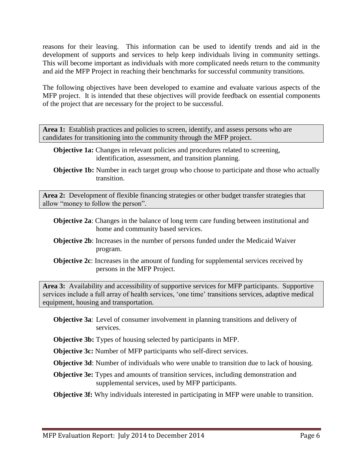reasons for their leaving. This information can be used to identify trends and aid in the development of supports and services to help keep individuals living in community settings. This will become important as individuals with more complicated needs return to the community and aid the MFP Project in reaching their benchmarks for successful community transitions.

The following objectives have been developed to examine and evaluate various aspects of the MFP project. It is intended that these objectives will provide feedback on essential components of the project that are necessary for the project to be successful.

Area 1: Establish practices and policies to screen, identify, and assess persons who are candidates for transitioning into the community through the MFP project.

- **Objective 1a:** Changes in relevant policies and procedures related to screening, identification, assessment, and transition planning.
- **Objective 1b:** Number in each target group who choose to participate and those who actually transition.

**Area 2:** Development of flexible financing strategies or other budget transfer strategies that allow "money to follow the person".

- **Objective 2a**: Changes in the balance of long term care funding between institutional and home and community based services.
- **Objective 2b**: Increases in the number of persons funded under the Medicaid Waiver program.
- **Objective 2c**: Increases in the amount of funding for supplemental services received by persons in the MFP Project.

**Area 3:** Availability and accessibility of supportive services for MFP participants. Supportive services include a full array of health services, 'one time' transitions services, adaptive medical equipment, housing and transportation.

- **Objective 3a**: Level of consumer involvement in planning transitions and delivery of services.
- **Objective 3b:** Types of housing selected by participants in MFP.

**Objective 3c:** Number of MFP participants who self-direct services.

**Objective 3d**: Number of individuals who were unable to transition due to lack of housing.

**Objective 3e:** Types and amounts of transition services, including demonstration and supplemental services, used by MFP participants.

**Objective 3f:** Why individuals interested in participating in MFP were unable to transition.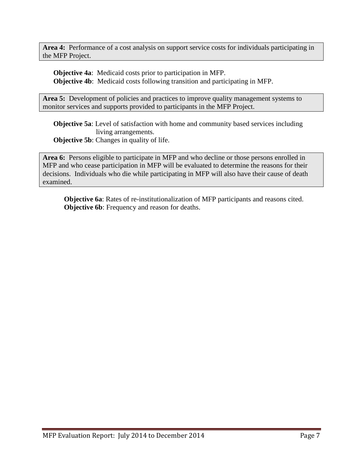**Area 4:** Performance of a cost analysis on support service costs for individuals participating in the MFP Project.

**Objective 4a**: Medicaid costs prior to participation in MFP. **Objective 4b**: Medicaid costs following transition and participating in MFP.

Area 5: Development of policies and practices to improve quality management systems to monitor services and supports provided to participants in the MFP Project.

**Objective 5a**: Level of satisfaction with home and community based services including living arrangements. **Objective 5b:** Changes in quality of life.

**Area 6:** Persons eligible to participate in MFP and who decline or those persons enrolled in MFP and who cease participation in MFP will be evaluated to determine the reasons for their decisions. Individuals who die while participating in MFP will also have their cause of death examined.

**Objective 6a**: Rates of re-institutionalization of MFP participants and reasons cited. **Objective 6b**: Frequency and reason for deaths.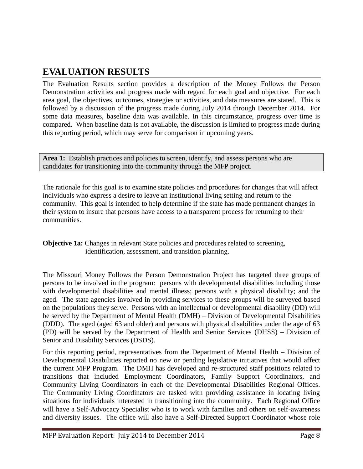## **EVALUATION RESULTS**

The Evaluation Results section provides a description of the Money Follows the Person Demonstration activities and progress made with regard for each goal and objective. For each area goal, the objectives, outcomes, strategies or activities, and data measures are stated. This is followed by a discussion of the progress made during July 2014 through December 2014. For some data measures, baseline data was available. In this circumstance, progress over time is compared. When baseline data is not available, the discussion is limited to progress made during this reporting period, which may serve for comparison in upcoming years.

Area 1: Establish practices and policies to screen, identify, and assess persons who are candidates for transitioning into the community through the MFP project.

The rationale for this goal is to examine state policies and procedures for changes that will affect individuals who express a desire to leave an institutional living setting and return to the community. This goal is intended to help determine if the state has made permanent changes in their system to insure that persons have access to a transparent process for returning to their communities.

**Objective 1a:** Changes in relevant State policies and procedures related to screening, identification, assessment, and transition planning.

The Missouri Money Follows the Person Demonstration Project has targeted three groups of persons to be involved in the program: persons with developmental disabilities including those with developmental disabilities and mental illness; persons with a physical disability; and the aged. The state agencies involved in providing services to these groups will be surveyed based on the populations they serve. Persons with an intellectual or developmental disability (DD) will be served by the Department of Mental Health (DMH) – Division of Developmental Disabilities (DDD). The aged (aged 63 and older) and persons with physical disabilities under the age of 63 (PD) will be served by the Department of Health and Senior Services (DHSS) – Division of Senior and Disability Services (DSDS).

For this reporting period, representatives from the Department of Mental Health – Division of Developmental Disabilities reported no new or pending legislative initiatives that would affect the current MFP Program. The DMH has developed and re-structured staff positions related to transitions that included Employment Coordinators, Family Support Coordinators, and Community Living Coordinators in each of the Developmental Disabilities Regional Offices. The Community Living Coordinators are tasked with providing assistance in locating living situations for individuals interested in transitioning into the community. Each Regional Office will have a Self-Advocacy Specialist who is to work with families and others on self-awareness and diversity issues. The office will also have a Self-Directed Support Coordinator whose role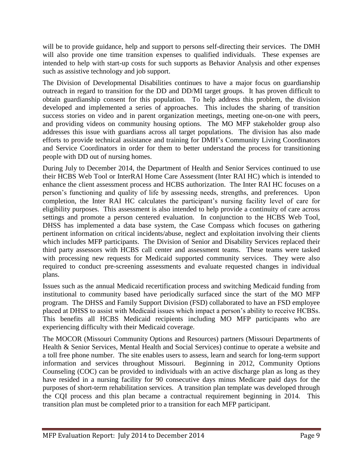will be to provide guidance, help and support to persons self-directing their services. The DMH will also provide one time transition expenses to qualified individuals. These expenses are intended to help with start-up costs for such supports as Behavior Analysis and other expenses such as assistive technology and job support.

The Division of Developmental Disabilities continues to have a major focus on guardianship outreach in regard to transition for the DD and DD/MI target groups. It has proven difficult to obtain guardianship consent for this population. To help address this problem, the division developed and implemented a series of approaches. This includes the sharing of transition success stories on video and in parent organization meetings, meeting one-on-one with peers, and providing videos on community housing options. The MO MFP stakeholder group also addresses this issue with guardians across all target populations. The division has also made efforts to provide technical assistance and training for DMH's Community Living Coordinators and Service Coordinators in order for them to better understand the process for transitioning people with DD out of nursing homes.

During July to December 2014, the Department of Health and Senior Services continued to use their HCBS Web Tool or InterRAI Home Care Assessment (Inter RAI HC) which is intended to enhance the client assessment process and HCBS authorization. The Inter RAI HC focuses on a person's functioning and quality of life by assessing needs, strengths, and preferences. Upon completion, the Inter RAI HC calculates the participant's nursing facility level of care for eligibility purposes. This assessment is also intended to help provide a continuity of care across settings and promote a person centered evaluation. In conjunction to the HCBS Web Tool, DHSS has implemented a data base system, the Case Compass which focuses on gathering pertinent information on critical incidents/abuse, neglect and exploitation involving their clients which includes MFP participants. The Division of Senior and Disability Services replaced their third party assessors with HCBS call center and assessment teams. These teams were tasked with processing new requests for Medicaid supported community services. They were also required to conduct pre-screening assessments and evaluate requested changes in individual plans.

Issues such as the annual Medicaid recertification process and switching Medicaid funding from institutional to community based have periodically surfaced since the start of the MO MFP program. The DHSS and Family Support Division (FSD) collaborated to have an FSD employee placed at DHSS to assist with Medicaid issues which impact a person's ability to receive HCBSs. This benefits all HCBS Medicaid recipients including MO MFP participants who are experiencing difficulty with their Medicaid coverage.

The MOCOR (Missouri Community Options and Resources) partners (Missouri Departments of Health & Senior Services, Mental Health and Social Services) continue to operate a website and a toll free phone number. The site enables users to assess, learn and search for long-term support information and services throughout Missouri. Beginning in 2012, Community Options Counseling (COC) can be provided to individuals with an active discharge plan as long as they have resided in a nursing facility for 90 consecutive days minus Medicare paid days for the purposes of short-term rehabilitation services. A transition plan template was developed through the CQI process and this plan became a contractual requirement beginning in 2014. This transition plan must be completed prior to a transition for each MFP participant.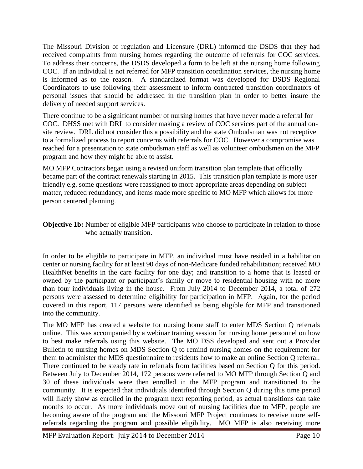The Missouri Division of regulation and Licensure (DRL) informed the DSDS that they had received complaints from nursing homes regarding the outcome of referrals for COC services. To address their concerns, the DSDS developed a form to be left at the nursing home following COC. If an individual is not referred for MFP transition coordination services, the nursing home is informed as to the reason. A standardized format was developed for DSDS Regional Coordinators to use following their assessment to inform contracted transition coordinators of personal issues that should be addressed in the transition plan in order to better insure the delivery of needed support services.

There continue to be a significant number of nursing homes that have never made a referral for COC. DHSS met with DRL to consider making a review of COC services part of the annual onsite review. DRL did not consider this a possibility and the state Ombudsman was not receptive to a formalized process to report concerns with referrals for COC. However a compromise was reached for a presentation to state ombudsman staff as well as volunteer ombudsmen on the MFP program and how they might be able to assist.

MO MFP Contractors began using a revised uniform transition plan template that officially became part of the contract renewals starting in 2015. This transition plan template is more user friendly e.g. some questions were reassigned to more appropriate areas depending on subject matter, reduced redundancy, and items made more specific to MO MFP which allows for more person centered planning.

**Objective 1b:** Number of eligible MFP participants who choose to participate in relation to those who actually transition.

In order to be eligible to participate in MFP, an individual must have resided in a habilitation center or nursing facility for at least 90 days of non-Medicare funded rehabilitation; received MO HealthNet benefits in the care facility for one day; and transition to a home that is leased or owned by the participant or participant's family or move to residential housing with no more than four individuals living in the house. From July 2014 to December 2014, a total of 272 persons were assessed to determine eligibility for participation in MFP. Again, for the period covered in this report, 117 persons were identified as being eligible for MFP and transitioned into the community.

The MO MFP has created a website for nursing home staff to enter MDS Section Q referrals online. This was accompanied by a webinar training session for nursing home personnel on how to best make referrals using this website. The MO DSS developed and sent out a Provider Bulletin to nursing homes on MDS Section Q to remind nursing homes on the requirement for them to administer the MDS questionnaire to residents how to make an online Section Q referral. There continued to be steady rate in referrals from facilities based on Section Q for this period. Between July to December 2014, 172 persons were referred to MO MFP through Section Q and 30 of these individuals were then enrolled in the MFP program and transitioned to the community. It is expected that individuals identified through Section Q during this time period will likely show as enrolled in the program next reporting period, as actual transitions can take months to occur. As more individuals move out of nursing facilities due to MFP, people are becoming aware of the program and the Missouri MFP Project continues to receive more selfreferrals regarding the program and possible eligibility. MO MFP is also receiving more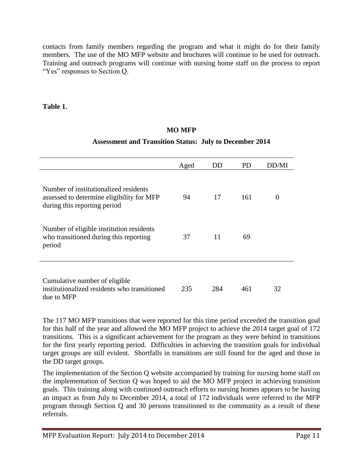contacts from family members regarding the program and what it might do for their family members. The use of the MO MFP website and brochures will continue to be used for outreach. Training and outreach programs will continue with nursing home staff on the process to report "Yes" responses to Section Q.

#### **Table 1.**

#### **MO MFP**

#### **Assessment and Transition Status: July to December 2014**

|                                                                                                                    | Aged | DD  | PD  | DD/MI |
|--------------------------------------------------------------------------------------------------------------------|------|-----|-----|-------|
| Number of institutionalized residents<br>assessed to determine eligibility for MFP<br>during this reporting period | 94   | 17  | 161 | O     |
| Number of eligible institution residents<br>who transitioned during this reporting<br>period                       | 37   | 11  | 69  |       |
| Cumulative number of eligible<br>institutionalized residents who transitioned<br>due to MFP                        | 235  | 284 | 461 | 32    |

The 117 MO MFP transitions that were reported for this time period exceeded the transition goal for this half of the year and allowed the MO MFP project to achieve the 2014 target goal of 172 transitions. This is a significant achievement for the program as they were behind in transitions for the first yearly reporting period. Difficulties in achieving the transition goals for individual target groups are still evident. Shortfalls in transitions are still found for the aged and those in the DD target groups.

The implementation of the Section Q website accompanied by training for nursing home staff on the implementation of Section Q was hoped to aid the MO MFP project in achieving transition goals. This training along with continued outreach efforts to nursing homes appears to be having an impact as from July to December 2014, a total of 172 individuals were referred to the MFP program through Section Q and 30 persons transitioned to the community as a result of these referrals.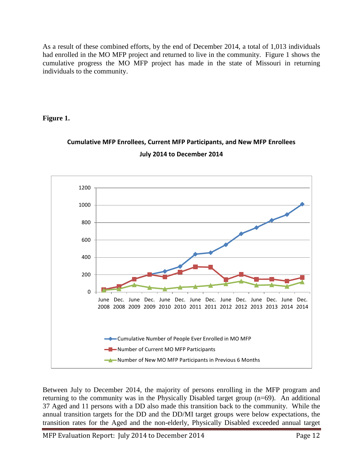As a result of these combined efforts, by the end of December 2014, a total of 1,013 individuals had enrolled in the MO MFP project and returned to live in the community. Figure 1 shows the cumulative progress the MO MFP project has made in the state of Missouri in returning individuals to the community.

#### **Figure 1.**



## **Cumulative MFP Enrollees, Current MFP Participants, and New MFP Enrollees July 2014 to December 2014**

Between July to December 2014, the majority of persons enrolling in the MFP program and returning to the community was in the Physically Disabled target group (n=69). An additional 37 Aged and 11 persons with a DD also made this transition back to the community. While the annual transition targets for the DD and the DD/MI target groups were below expectations, the transition rates for the Aged and the non-elderly, Physically Disabled exceeded annual target

MFP Evaluation Report: July 2014 to December 2014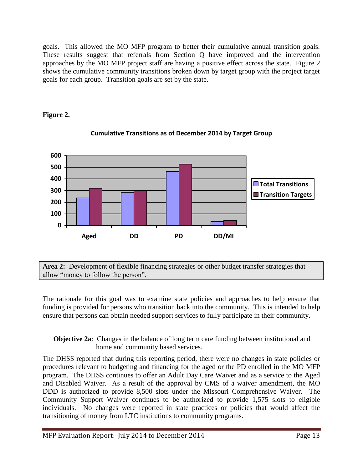goals. This allowed the MO MFP program to better their cumulative annual transition goals. These results suggest that referrals from Section Q have improved and the intervention approaches by the MO MFP project staff are having a positive effect across the state. Figure 2 shows the cumulative community transitions broken down by target group with the project target goals for each group. Transition goals are set by the state.

#### **Figure 2.**



### **Cumulative Transitions as of December 2014 by Target Group**

**Area 2:** Development of flexible financing strategies or other budget transfer strategies that allow "money to follow the person".

The rationale for this goal was to examine state policies and approaches to help ensure that funding is provided for persons who transition back into the community. This is intended to help ensure that persons can obtain needed support services to fully participate in their community.

#### **Objective 2a:** Changes in the balance of long term care funding between institutional and home and community based services.

The DHSS reported that during this reporting period, there were no changes in state policies or procedures relevant to budgeting and financing for the aged or the PD enrolled in the MO MFP program. The DHSS continues to offer an Adult Day Care Waiver and as a service to the Aged and Disabled Waiver. As a result of the approval by CMS of a waiver amendment, the MO DDD is authorized to provide 8,500 slots under the Missouri Comprehensive Waiver. The Community Support Waiver continues to be authorized to provide 1,575 slots to eligible individuals. No changes were reported in state practices or policies that would affect the transitioning of money from LTC institutions to community programs.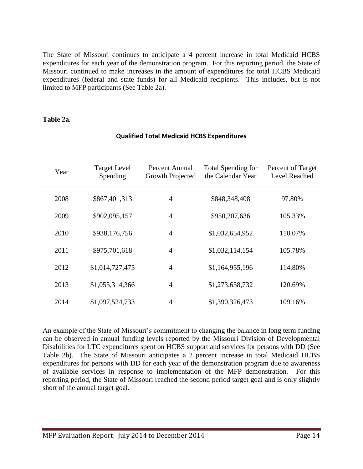The State of Missouri continues to anticipate a 4 percent increase in total Medicaid HCBS expenditures for each year of the demonstration program. For this reporting period, the State of Missouri continued to make increases in the amount of expenditures for total HCBS Medicaid expenditures (federal and state funds) for all Medicaid recipients. This includes, but is not limited to MFP participants (See Table 2a).

#### **Table 2a.**

| Year | <b>Target Level</b><br>Spending | Percent Annual<br>Growth Projected | <b>Total Spending for</b><br>the Calendar Year | Percent of Target<br><b>Level Reached</b> |
|------|---------------------------------|------------------------------------|------------------------------------------------|-------------------------------------------|
| 2008 | \$867,401,313                   | $\overline{4}$                     | \$848,348,408                                  | 97.80%                                    |
| 2009 | \$902,095,157                   | $\overline{4}$                     | \$950,207,636                                  | 105.33%                                   |
| 2010 | \$938,176,756                   | $\overline{4}$                     | \$1,032,654,952                                | 110.07%                                   |
| 2011 | \$975,701,618                   | $\overline{4}$                     | \$1,032,114,154                                | 105.78%                                   |
| 2012 | \$1,014,727,475                 | $\overline{4}$                     | \$1,164,955,196                                | 114.80%                                   |
| 2013 | \$1,055,314,366                 | $\overline{4}$                     | \$1,273,658,732                                | 120.69%                                   |
| 2014 | \$1,097,524,733                 | $\overline{4}$                     | \$1,390,326,473                                | 109.16%                                   |

#### **Qualified Total Medicaid HCBS Expenditures**

An example of the State of Missouri's commitment to changing the balance in long term funding can be observed in annual funding levels reported by the Missouri Division of Developmental Disabilities for LTC expenditures spent on HCBS support and services for persons with DD (See Table 2b). The State of Missouri anticipates a 2 percent increase in total Medicaid HCBS expenditures for persons with DD for each year of the demonstration program due to awareness of available services in response to implementation of the MFP demonstration. For this reporting period, the State of Missouri reached the second period target goal and is only slightly short of the annual target goal.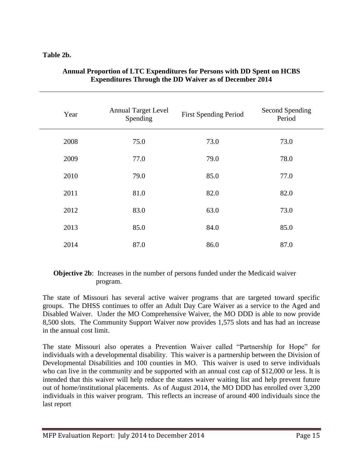#### **Table 2b.**

| Year | <b>Annual Target Level</b><br>Spending | <b>First Spending Period</b> | Second Spending<br>Period |
|------|----------------------------------------|------------------------------|---------------------------|
| 2008 | 75.0                                   | 73.0                         | 73.0                      |
| 2009 | 77.0                                   | 79.0                         | 78.0                      |
| 2010 | 79.0                                   | 85.0                         | 77.0                      |
| 2011 | 81.0                                   | 82.0                         | 82.0                      |
| 2012 | 83.0                                   | 63.0                         | 73.0                      |
| 2013 | 85.0                                   | 84.0                         | 85.0                      |
| 2014 | 87.0                                   | 86.0                         | 87.0                      |

#### **Annual Proportion of LTC Expenditures for Persons with DD Spent on HCBS Expenditures Through the DD Waiver as of December 2014**

#### **Objective 2b:** Increases in the number of persons funded under the Medicaid waiver program.

The state of Missouri has several active waiver programs that are targeted toward specific groups. The DHSS continues to offer an Adult Day Care Waiver as a service to the Aged and Disabled Waiver. Under the MO Comprehensive Waiver, the MO DDD is able to now provide 8,500 slots. The Community Support Waiver now provides 1,575 slots and has had an increase in the annual cost limit.

The state Missouri also operates a Prevention Waiver called "Partnership for Hope" for individuals with a developmental disability. This waiver is a partnership between the Division of Developmental Disabilities and 100 counties in MO. This waiver is used to serve individuals who can live in the community and be supported with an annual cost cap of \$12,000 or less. It is intended that this waiver will help reduce the states waiver waiting list and help prevent future out of home/institutional placements. As of August 2014, the MO DDD has enrolled over 3,200 individuals in this waiver program. This reflects an increase of around 400 individuals since the last report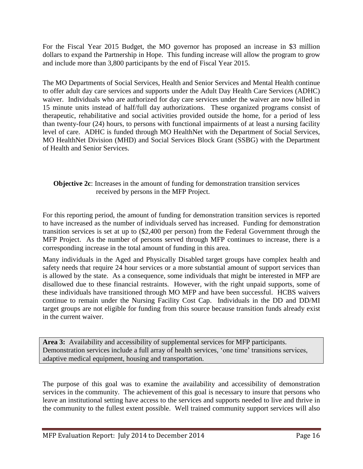For the Fiscal Year 2015 Budget, the MO governor has proposed an increase in \$3 million dollars to expand the Partnership in Hope. This funding increase will allow the program to grow and include more than 3,800 participants by the end of Fiscal Year 2015.

The MO Departments of Social Services, Health and Senior Services and Mental Health continue to offer adult day care services and supports under the Adult Day Health Care Services (ADHC) waiver. Individuals who are authorized for day care services under the waiver are now billed in 15 minute units instead of half/full day authorizations. These organized programs consist of therapeutic, rehabilitative and social activities provided outside the home, for a period of less than twenty-four (24) hours, to persons with functional impairments of at least a nursing facility level of care. ADHC is funded through MO HealthNet with the Department of Social Services, MO HealthNet Division (MHD) and Social Services Block Grant (SSBG) with the Department of Health and Senior Services.

#### **Objective 2c**: Increases in the amount of funding for demonstration transition services received by persons in the MFP Project.

For this reporting period, the amount of funding for demonstration transition services is reported to have increased as the number of individuals served has increased. Funding for demonstration transition services is set at up to (\$2,400 per person) from the Federal Government through the MFP Project. As the number of persons served through MFP continues to increase, there is a corresponding increase in the total amount of funding in this area.

Many individuals in the Aged and Physically Disabled target groups have complex health and safety needs that require 24 hour services or a more substantial amount of support services than is allowed by the state. As a consequence, some individuals that might be interested in MFP are disallowed due to these financial restraints. However, with the right unpaid supports, some of these individuals have transitioned through MO MFP and have been successful. HCBS waivers continue to remain under the Nursing Facility Cost Cap. Individuals in the DD and DD/MI target groups are not eligible for funding from this source because transition funds already exist in the current waiver.

**Area 3:** Availability and accessibility of supplemental services for MFP participants. Demonstration services include a full array of health services, 'one time' transitions services, adaptive medical equipment, housing and transportation.

The purpose of this goal was to examine the availability and accessibility of demonstration services in the community. The achievement of this goal is necessary to insure that persons who leave an institutional setting have access to the services and supports needed to live and thrive in the community to the fullest extent possible. Well trained community support services will also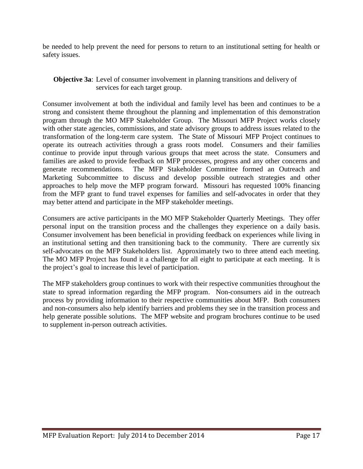be needed to help prevent the need for persons to return to an institutional setting for health or safety issues.

#### **Objective 3a**: Level of consumer involvement in planning transitions and delivery of services for each target group.

Consumer involvement at both the individual and family level has been and continues to be a strong and consistent theme throughout the planning and implementation of this demonstration program through the MO MFP Stakeholder Group. The Missouri MFP Project works closely with other state agencies, commissions, and state advisory groups to address issues related to the transformation of the long-term care system. The State of Missouri MFP Project continues to operate its outreach activities through a grass roots model. Consumers and their families continue to provide input through various groups that meet across the state. Consumers and families are asked to provide feedback on MFP processes, progress and any other concerns and generate recommendations. The MFP Stakeholder Committee formed an Outreach and The MFP Stakeholder Committee formed an Outreach and Marketing Subcommittee to discuss and develop possible outreach strategies and other approaches to help move the MFP program forward. Missouri has requested 100% financing from the MFP grant to fund travel expenses for families and self-advocates in order that they may better attend and participate in the MFP stakeholder meetings.

Consumers are active participants in the MO MFP Stakeholder Quarterly Meetings. They offer personal input on the transition process and the challenges they experience on a daily basis. Consumer involvement has been beneficial in providing feedback on experiences while living in an institutional setting and then transitioning back to the community. There are currently six self-advocates on the MFP Stakeholders list. Approximately two to three attend each meeting. The MO MFP Project has found it a challenge for all eight to participate at each meeting. It is the project's goal to increase this level of participation.

The MFP stakeholders group continues to work with their respective communities throughout the state to spread information regarding the MFP program. Non-consumers aid in the outreach process by providing information to their respective communities about MFP. Both consumers and non-consumers also help identify barriers and problems they see in the transition process and help generate possible solutions. The MFP website and program brochures continue to be used to supplement in-person outreach activities.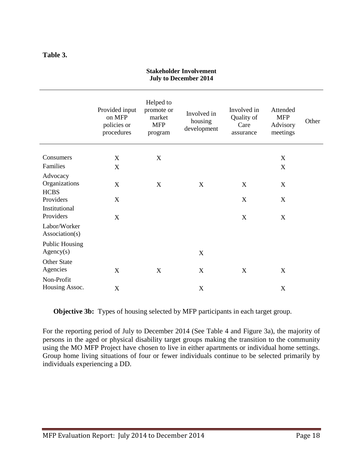#### **Table 3.**

|                                          | Provided input<br>on MFP<br>policies or<br>procedures | Helped to<br>promote or<br>market<br><b>MFP</b><br>program | Involved in<br>housing<br>development | Involved in<br>Quality of<br>Care<br>assurance | Attended<br><b>MFP</b><br>Advisory<br>meetings | Other |
|------------------------------------------|-------------------------------------------------------|------------------------------------------------------------|---------------------------------------|------------------------------------------------|------------------------------------------------|-------|
| Consumers                                | X                                                     | X                                                          |                                       |                                                | X                                              |       |
| Families                                 | X                                                     |                                                            |                                       |                                                | $\boldsymbol{\mathrm{X}}$                      |       |
| Advocacy<br>Organizations<br><b>HCBS</b> | X                                                     | X                                                          | $\boldsymbol{\mathrm{X}}$             | X                                              | X                                              |       |
| Providers                                | X                                                     |                                                            |                                       | X                                              | X                                              |       |
| Institutional<br>Providers               | X                                                     |                                                            |                                       | $\mathbf X$                                    | $\boldsymbol{\mathrm{X}}$                      |       |
| Labor/Worker<br>Association(s)           |                                                       |                                                            |                                       |                                                |                                                |       |
| <b>Public Housing</b><br>Agency(s)       |                                                       |                                                            | $\boldsymbol{\mathrm{X}}$             |                                                |                                                |       |
| Other State<br>Agencies                  | X                                                     | X                                                          | $\boldsymbol{\mathrm{X}}$             | X                                              | X                                              |       |
| Non-Profit<br>Housing Assoc.             | X                                                     |                                                            | $\boldsymbol{\mathrm{X}}$             |                                                | X                                              |       |

#### **Stakeholder Involvement July to December 2014**

**Objective 3b:** Types of housing selected by MFP participants in each target group.

For the reporting period of July to December 2014 (See Table 4 and Figure 3a), the majority of persons in the aged or physical disability target groups making the transition to the community using the MO MFP Project have chosen to live in either apartments or individual home settings. Group home living situations of four or fewer individuals continue to be selected primarily by individuals experiencing a DD.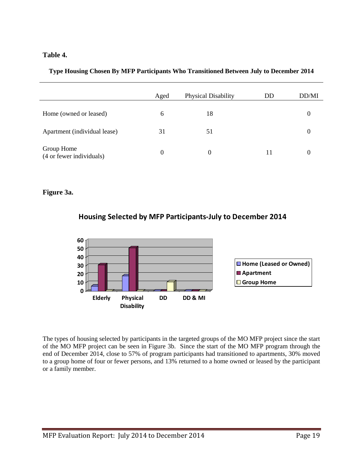#### **Table 4.**

|  |  |  | Type Housing Chosen By MFP Participants Who Transitioned Between July to December 2014 |  |  |
|--|--|--|----------------------------------------------------------------------------------------|--|--|
|  |  |  |                                                                                        |  |  |
|  |  |  |                                                                                        |  |  |
|  |  |  |                                                                                        |  |  |

|                                        | Aged | Physical Disability | DD | DD/MI |
|----------------------------------------|------|---------------------|----|-------|
| Home (owned or leased)                 | 6    | 18                  |    | O     |
| Apartment (individual lease)           | 31   | 51                  |    | O     |
| Group Home<br>(4 or fewer individuals) | 0    | 0                   | 11 |       |

#### **Figure 3a.**





The types of housing selected by participants in the targeted groups of the MO MFP project since the start of the MO MFP project can be seen in Figure 3b. Since the start of the MO MFP program through the end of December 2014, close to 57% of program participants had transitioned to apartments, 30% moved to a group home of four or fewer persons, and 13% returned to a home owned or leased by the participant or a family member.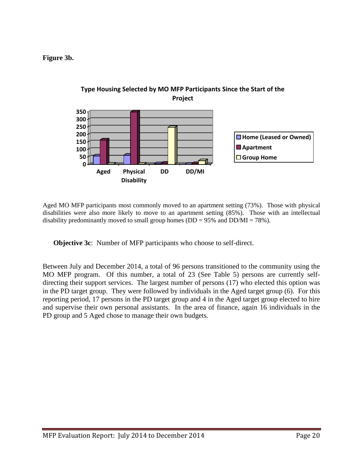**Figure 3b.**



Aged MO MFP participants most commonly moved to an apartment setting (73%). Those with physical disabilities were also more likely to move to an apartment setting (85%). Those with an intellectual disability predominantly moved to small group homes ( $DD = 95\%$  and  $DD/MI = 78\%$ ).

**Objective 3c**: Number of MFP participants who choose to self-direct.

Between July and December 2014, a total of 96 persons transitioned to the community using the MO MFP program. Of this number, a total of 23 (See Table 5) persons are currently selfdirecting their support services. The largest number of persons (17) who elected this option was in the PD target group. They were followed by individuals in the Aged target group (6). For this reporting period, 17 persons in the PD target group and 4 in the Aged target group elected to hire and supervise their own personal assistants. In the area of finance, again 16 individuals in the PD group and 5 Aged chose to manage their own budgets.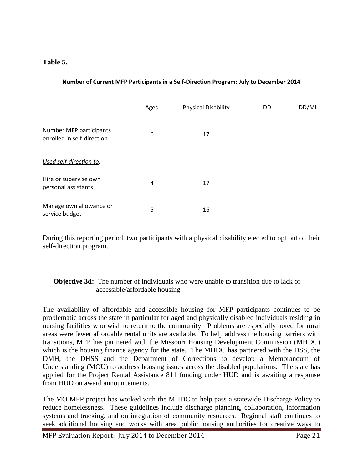#### **Table 5.**

|                                                       | Aged | <b>Physical Disability</b> | DD | DD/MI |
|-------------------------------------------------------|------|----------------------------|----|-------|
| Number MFP participants<br>enrolled in self-direction | 6    | 17                         |    |       |
| Used self-direction to:                               |      |                            |    |       |
| Hire or supervise own<br>personal assistants          | 4    | 17                         |    |       |
| Manage own allowance or<br>service budget             | 5    | 16                         |    |       |

**Number of Current MFP Participants in a Self-Direction Program: July to December 2014**

During this reporting period, two participants with a physical disability elected to opt out of their self-direction program.

#### **Objective 3d:** The number of individuals who were unable to transition due to lack of accessible/affordable housing.

The availability of affordable and accessible housing for MFP participants continues to be problematic across the state in particular for aged and physically disabled individuals residing in nursing facilities who wish to return to the community. Problems are especially noted for rural areas were fewer affordable rental units are available. To help address the housing barriers with transitions, MFP has partnered with the Missouri Housing Development Commission (MHDC) which is the housing finance agency for the state. The MHDC has partnered with the DSS, the DMH, the DHSS and the Department of Corrections to develop a Memorandum of Understanding (MOU) to address housing issues across the disabled populations. The state has applied for the Project Rental Assistance 811 funding under HUD and is awaiting a response from HUD on award announcements.

The MO MFP project has worked with the MHDC to help pass a statewide Discharge Policy to reduce homelessness. These guidelines include discharge planning, collaboration, information systems and tracking, and on integration of community resources. Regional staff continues to seek additional housing and works with area public housing authorities for creative ways to

MFP Evaluation Report: July 2014 to December 2014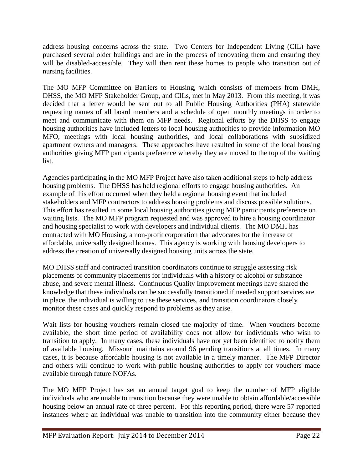address housing concerns across the state. Two Centers for Independent Living (CIL) have purchased several older buildings and are in the process of renovating them and ensuring they will be disabled-accessible. They will then rent these homes to people who transition out of nursing facilities.

The MO MFP Committee on Barriers to Housing, which consists of members from DMH, DHSS, the MO MFP Stakeholder Group, and CILs, met in May 2013. From this meeting, it was decided that a letter would be sent out to all Public Housing Authorities (PHA) statewide requesting names of all board members and a schedule of open monthly meetings in order to meet and communicate with them on MFP needs. Regional efforts by the DHSS to engage housing authorities have included letters to local housing authorities to provide information MO MFO, meetings with local housing authorities, and local collaborations with subsidized apartment owners and managers. These approaches have resulted in some of the local housing authorities giving MFP participants preference whereby they are moved to the top of the waiting list.

Agencies participating in the MO MFP Project have also taken additional steps to help address housing problems. The DHSS has held regional efforts to engage housing authorities. An example of this effort occurred when they held a regional housing event that included stakeholders and MFP contractors to address housing problems and discuss possible solutions. This effort has resulted in some local housing authorities giving MFP participants preference on waiting lists. The MO MFP program requested and was approved to hire a housing coordinator and housing specialist to work with developers and individual clients. The MO DMH has contracted with MO Housing, a non-profit corporation that advocates for the increase of affordable, universally designed homes. This agency is working with housing developers to address the creation of universally designed housing units across the state.

MO DHSS staff and contracted transition coordinators continue to struggle assessing risk placements of community placements for individuals with a history of alcohol or substance abuse, and severe mental illness. Continuous Quality Improvement meetings have shared the knowledge that these individuals can be successfully transitioned if needed support services are in place, the individual is willing to use these services, and transition coordinators closely monitor these cases and quickly respond to problems as they arise.

Wait lists for housing vouchers remain closed the majority of time. When vouchers become available, the short time period of availability does not allow for individuals who wish to transition to apply. In many cases, these individuals have not yet been identified to notify them of available housing. Missouri maintains around 96 pending transitions at all times. In many cases, it is because affordable housing is not available in a timely manner. The MFP Director and others will continue to work with public housing authorities to apply for vouchers made available through future NOFAs.

The MO MFP Project has set an annual target goal to keep the number of MFP eligible individuals who are unable to transition because they were unable to obtain affordable/accessible housing below an annual rate of three percent. For this reporting period, there were 57 reported instances where an individual was unable to transition into the community either because they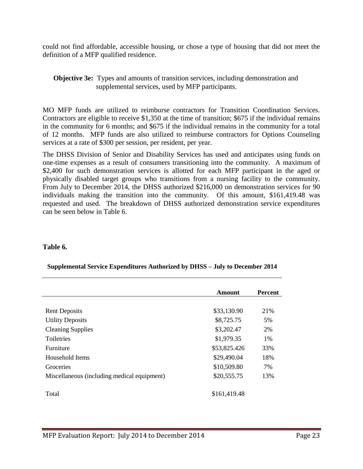could not find affordable, accessible housing, or chose a type of housing that did not meet the definition of a MFP qualified residence.

**Objective 3e:** Types and amounts of transition services, including demonstration and supplemental services, used by MFP participants.

MO MFP funds are utilized to reimburse contractors for Transition Coordination Services. Contractors are eligible to receive \$1,350 at the time of transition; \$675 if the individual remains in the community for 6 months; and \$675 if the individual remains in the community for a total of 12 months. MFP funds are also utilized to reimburse contractors for Options Counseling services at a rate of \$300 per session, per resident, per year.

The DHSS Division of Senior and Disability Services has used and anticipates using funds on one-time expenses as a result of consumers transitioning into the community. A maximum of \$2,400 for such demonstration services is allotted for each MFP participant in the aged or physically disabled target groups who transitions from a nursing facility to the community. From July to December 2014, the DHSS authorized \$216,000 on demonstration services for 90 individuals making the transition into the community. Of this amount, \$161,419.48 was requested and used. The breakdown of DHSS authorized demonstration service expenditures can be seen below in Table 6.

#### **Table 6.**

|                                             | <b>Amount</b> | <b>Percent</b> |
|---------------------------------------------|---------------|----------------|
|                                             |               |                |
| <b>Rent Deposits</b>                        | \$33,130.90   | 21%            |
| <b>Utility Deposits</b>                     | \$8,725.75    | 5%             |
| <b>Cleaning Supplies</b>                    | \$3,202.47    | 2%             |
| Toiletries                                  | \$1,979.35    | 1%             |
| Furniture                                   | \$53,825.426  | 33%            |
| Household Items                             | \$29,490.04   | 18%            |
| Groceries                                   | \$10,509.80   | 7%             |
| Miscellaneous (including medical equipment) | \$20,555.75   | 13%            |
|                                             |               |                |
| Total                                       | \$161,419.48  |                |

#### **Supplemental Service Expenditures Authorized by DHSS – July to December 2014**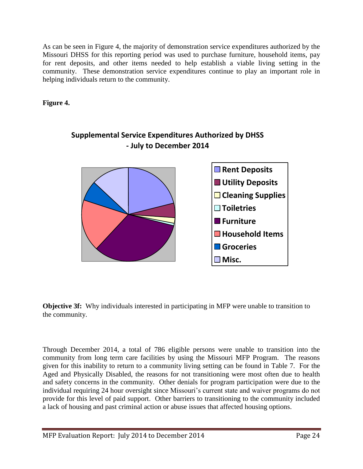As can be seen in Figure 4, the majority of demonstration service expenditures authorized by the Missouri DHSS for this reporting period was used to purchase furniture, household items, pay for rent deposits, and other items needed to help establish a viable living setting in the community. These demonstration service expenditures continue to play an important role in helping individuals return to the community.

**Figure 4.**



## **Supplemental Service Expenditures Authorized by DHSS - July to December 2014**

**Objective 3f:** Why individuals interested in participating in MFP were unable to transition to the community.

Through December 2014, a total of 786 eligible persons were unable to transition into the community from long term care facilities by using the Missouri MFP Program. The reasons given for this inability to return to a community living setting can be found in Table 7. For the Aged and Physically Disabled, the reasons for not transitioning were most often due to health and safety concerns in the community. Other denials for program participation were due to the individual requiring 24 hour oversight since Missouri's current state and waiver programs do not provide for this level of paid support. Other barriers to transitioning to the community included a lack of housing and past criminal action or abuse issues that affected housing options.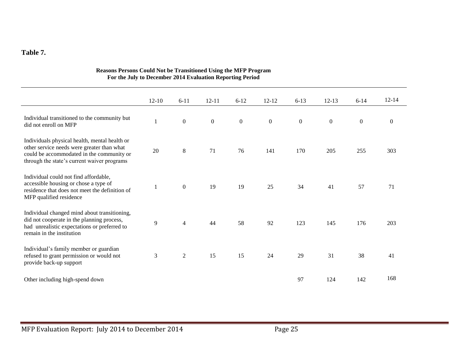#### **Table 7.**

|                                                                                                                                                                                         | $12 - 10$    | $6 - 11$         | $12 - 11$        | $6-12$       | $12 - 12$        | $6 - 13$         | $12 - 13$        | $6-14$           | $12 - 14$        |
|-----------------------------------------------------------------------------------------------------------------------------------------------------------------------------------------|--------------|------------------|------------------|--------------|------------------|------------------|------------------|------------------|------------------|
| Individual transitioned to the community but<br>did not enroll on MFP                                                                                                                   | $\mathbf{1}$ | $\boldsymbol{0}$ | $\boldsymbol{0}$ | $\mathbf{0}$ | $\boldsymbol{0}$ | $\boldsymbol{0}$ | $\boldsymbol{0}$ | $\boldsymbol{0}$ | $\boldsymbol{0}$ |
| Individuals physical health, mental health or<br>other service needs were greater than what<br>could be accommodated in the community or<br>through the state's current waiver programs | 20           | $8\,$            | 71               | 76           | 141              | 170              | 205              | 255              | 303              |
| Individual could not find affordable,<br>accessible housing or chose a type of<br>residence that does not meet the definition of<br>MFP qualified residence                             |              | $\theta$         | 19               | 19           | 25               | 34               | 41               | 57               | 71               |
| Individual changed mind about transitioning,<br>did not cooperate in the planning process,<br>had unrealistic expectations or preferred to<br>remain in the institution                 | 9            | $\overline{4}$   | 44               | 58           | 92               | 123              | 145              | 176              | 203              |
| Individual's family member or guardian<br>refused to grant permission or would not<br>provide back-up support                                                                           | 3            | $\overline{2}$   | 15               | 15           | 24               | 29               | 31               | 38               | 41               |
| Other including high-spend down                                                                                                                                                         |              |                  |                  |              |                  | 97               | 124              | 142              | 168              |

#### **Reasons Persons Could Not be Transitioned Using the MFP Program For the July to December 2014 Evaluation Reporting Period**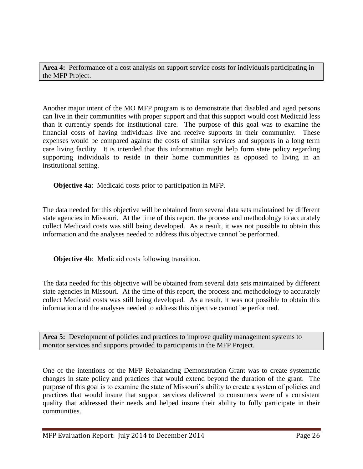**Area 4:** Performance of a cost analysis on support service costs for individuals participating in the MFP Project.

Another major intent of the MO MFP program is to demonstrate that disabled and aged persons can live in their communities with proper support and that this support would cost Medicaid less than it currently spends for institutional care. The purpose of this goal was to examine the financial costs of having individuals live and receive supports in their community. These expenses would be compared against the costs of similar services and supports in a long term care living facility. It is intended that this information might help form state policy regarding supporting individuals to reside in their home communities as opposed to living in an institutional setting.

**Objective 4a**: Medicaid costs prior to participation in MFP.

The data needed for this objective will be obtained from several data sets maintained by different state agencies in Missouri. At the time of this report, the process and methodology to accurately collect Medicaid costs was still being developed. As a result, it was not possible to obtain this information and the analyses needed to address this objective cannot be performed.

**Objective 4b**: Medicaid costs following transition.

The data needed for this objective will be obtained from several data sets maintained by different state agencies in Missouri. At the time of this report, the process and methodology to accurately collect Medicaid costs was still being developed. As a result, it was not possible to obtain this information and the analyses needed to address this objective cannot be performed.

**Area 5:** Development of policies and practices to improve quality management systems to monitor services and supports provided to participants in the MFP Project.

One of the intentions of the MFP Rebalancing Demonstration Grant was to create systematic changes in state policy and practices that would extend beyond the duration of the grant. The purpose of this goal is to examine the state of Missouri's ability to create a system of policies and practices that would insure that support services delivered to consumers were of a consistent quality that addressed their needs and helped insure their ability to fully participate in their communities.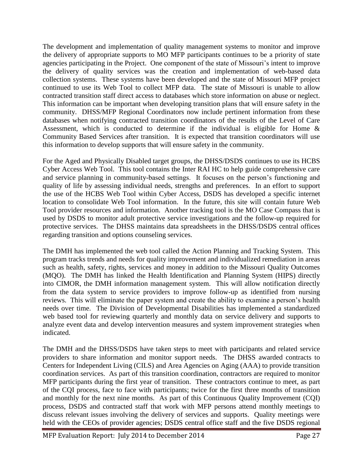The development and implementation of quality management systems to monitor and improve the delivery of appropriate supports to MO MFP participants continues to be a priority of state agencies participating in the Project. One component of the state of Missouri's intent to improve the delivery of quality services was the creation and implementation of web-based data collection systems. These systems have been developed and the state of Missouri MFP project continued to use its Web Tool to collect MFP data. The state of Missouri is unable to allow contracted transition staff direct access to databases which store information on abuse or neglect. This information can be important when developing transition plans that will ensure safety in the community. DHSS/MFP Regional Coordinators now include pertinent information from these databases when notifying contracted transition coordinators of the results of the Level of Care Assessment, which is conducted to determine if the individual is eligible for Home  $\&$ Community Based Services after transition. It is expected that transition coordinators will use this information to develop supports that will ensure safety in the community.

For the Aged and Physically Disabled target groups, the DHSS/DSDS continues to use its HCBS Cyber Access Web Tool. This tool contains the Inter RAI HC to help guide comprehensive care and service planning in community-based settings. It focuses on the person's functioning and quality of life by assessing individual needs, strengths and preferences. In an effort to support the use of the HCBS Web Tool within Cyber Access, DSDS has developed a specific internet location to consolidate Web Tool information. In the future, this site will contain future Web Tool provider resources and information. Another tracking tool is the MO Case Compass that is used by DSDS to monitor adult protective service investigations and the follow-up required for protective services. The DHSS maintains data spreadsheets in the DHSS/DSDS central offices regarding transition and options counseling services.

The DMH has implemented the web tool called the Action Planning and Tracking System. This program tracks trends and needs for quality improvement and individualized remediation in areas such as health, safety, rights, services and money in addition to the Missouri Quality Outcomes (MQO). The DMH has linked the Health Identification and Planning System (HIPS) directly into CIMOR, the DMH information management system. This will allow notification directly from the data system to service providers to improve follow-up as identified from nursing reviews. This will eliminate the paper system and create the ability to examine a person's health needs over time. The Division of Developmental Disabilities has implemented a standardized web based tool for reviewing quarterly and monthly data on service delivery and supports to analyze event data and develop intervention measures and system improvement strategies when indicated.

The DMH and the DHSS/DSDS have taken steps to meet with participants and related service providers to share information and monitor support needs. The DHSS awarded contracts to Centers for Independent Living (CILS) and Area Agencies on Aging (AAA) to provide transition coordination services. As part of this transition coordination, contractors are required to monitor MFP participants during the first year of transition. These contractors continue to meet, as part of the CQI process, face to face with participants; twice for the first three months of transition and monthly for the next nine months. As part of this Continuous Quality Improvement (CQI) process, DSDS and contracted staff that work with MFP persons attend monthly meetings to discuss relevant issues involving the delivery of services and supports. Quality meetings were held with the CEOs of provider agencies; DSDS central office staff and the five DSDS regional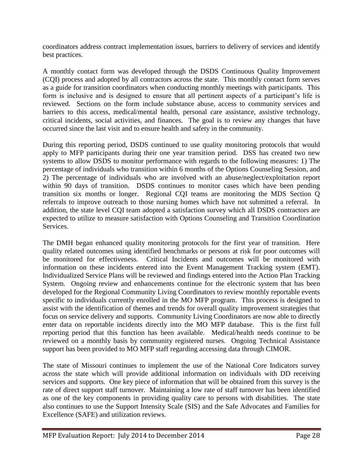coordinators address contract implementation issues, barriers to delivery of services and identify best practices.

A monthly contact form was developed through the DSDS Continuous Quality Improvement (CQI) process and adopted by all contractors across the state. This monthly contact form serves as a guide for transition coordinators when conducting monthly meetings with participants. This form is inclusive and is designed to ensure that all pertinent aspects of a participant's life is reviewed. Sections on the form include substance abuse, access to community services and barriers to this access, medical/mental health, personal care assistance, assistive technology, critical incidents, social activities, and finances. The goal is to review any changes that have occurred since the last visit and to ensure health and safety in the community.

During this reporting period, DSDS continued to use quality monitoring protocols that would apply to MFP participants during their one year transition period. DSS has created two new systems to allow DSDS to monitor performance with regards to the following measures: 1) The percentage of individuals who transition within 6 months of the Options Counseling Session, and 2) The percentage of individuals who are involved with an abuse/neglect/exploitation report within 90 days of transition. DSDS continues to monitor cases which have been pending transition six months or longer. Regional CQI teams are monitoring the MDS Section Q referrals to improve outreach to those nursing homes which have not submitted a referral. In addition, the state level CQI team adopted a satisfaction survey which all DSDS contractors are expected to utilize to measure satisfaction with Options Counseling and Transition Coordination **Services** 

The DMH began enhanced quality monitoring protocols for the first year of transition. Here quality related outcomes using identified benchmarks or persons at risk for poor outcomes will be monitored for effectiveness. Critical Incidents and outcomes will be monitored with information on these incidents entered into the Event Management Tracking system (EMT). Individualized Service Plans will be reviewed and findings entered into the Action Plan Tracking System. Ongoing review and enhancements continue for the electronic system that has been developed for the Regional Community Living Coordinators to review monthly reportable events specific to individuals currently enrolled in the MO MFP program. This process is designed to assist with the identification of themes and trends for overall quality improvement strategies that focus on service delivery and supports. Community Living Coordinators are now able to directly enter data on reportable incidents directly into the MO MFP database. This is the first full reporting period that this function has been available. Medical/health needs continue to be reviewed on a monthly basis by community registered nurses. Ongoing Technical Assistance support has been provided to MO MFP staff regarding accessing data through CIMOR.

The state of Missouri continues to implement the use of the National Core Indicators survey across the state which will provide additional information on individuals with DD receiving services and supports. One key piece of information that will be obtained from this survey is the rate of direct support staff turnover. Maintaining a low rate of staff turnover has been identified as one of the key components in providing quality care to persons with disabilities. The state also continues to use the Support Intensity Scale (SIS) and the Safe Advocates and Families for Excellence (SAFE) and utilization reviews.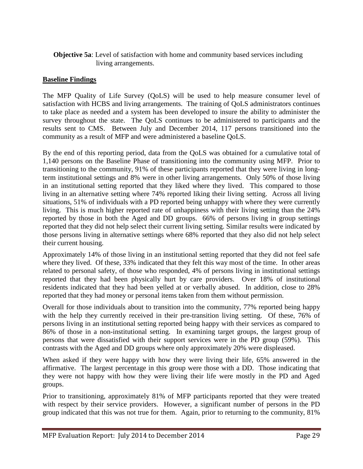#### **Objective 5a:** Level of satisfaction with home and community based services including living arrangements.

#### **Baseline Findings**

The MFP Quality of Life Survey (QoLS) will be used to help measure consumer level of satisfaction with HCBS and living arrangements. The training of QoLS administrators continues to take place as needed and a system has been developed to insure the ability to administer the survey throughout the state. The QoLS continues to be administered to participants and the results sent to CMS. Between July and December 2014, 117 persons transitioned into the community as a result of MFP and were administered a baseline QoLS.

By the end of this reporting period, data from the QoLS was obtained for a cumulative total of 1,140 persons on the Baseline Phase of transitioning into the community using MFP. Prior to transitioning to the community, 91% of these participants reported that they were living in longterm institutional settings and 8% were in other living arrangements. Only 50% of those living in an institutional setting reported that they liked where they lived. This compared to those living in an alternative setting where 74% reported liking their living setting. Across all living situations, 51% of individuals with a PD reported being unhappy with where they were currently living. This is much higher reported rate of unhappiness with their living setting than the 24% reported by those in both the Aged and DD groups. 66% of persons living in group settings reported that they did not help select their current living setting. Similar results were indicated by those persons living in alternative settings where 68% reported that they also did not help select their current housing.

Approximately 14% of those living in an institutional setting reported that they did not feel safe where they lived. Of these, 33% indicated that they felt this way most of the time. In other areas related to personal safety, of those who responded, 4% of persons living in institutional settings reported that they had been physically hurt by care providers. Over 18% of institutional residents indicated that they had been yelled at or verbally abused. In addition, close to 28% reported that they had money or personal items taken from them without permission.

Overall for those individuals about to transition into the community, 77% reported being happy with the help they currently received in their pre-transition living setting. Of these, 76% of persons living in an institutional setting reported being happy with their services as compared to 86% of those in a non-institutional setting. In examining target groups, the largest group of persons that were dissatisfied with their support services were in the PD group (59%). This contrasts with the Aged and DD groups where only approximately 20% were displeased.

When asked if they were happy with how they were living their life, 65% answered in the affirmative. The largest percentage in this group were those with a DD. Those indicating that they were not happy with how they were living their life were mostly in the PD and Aged groups.

Prior to transitioning, approximately 81% of MFP participants reported that they were treated with respect by their service providers. However, a significant number of persons in the PD group indicated that this was not true for them. Again, prior to returning to the community, 81%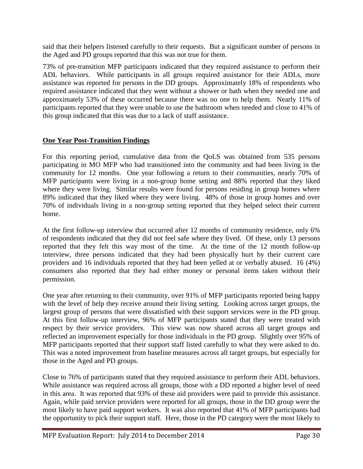said that their helpers listened carefully to their requests. But a significant number of persons in the Aged and PD groups reported that this was not true for them.

73% of pre-transition MFP participants indicated that they required assistance to perform their ADL behaviors. While participants in all groups required assistance for their ADLs, more assistance was reported for persons in the DD groups. Approximately 18% of respondents who required assistance indicated that they went without a shower or bath when they needed one and approximately 53% of these occurred because there was no one to help them. Nearly 11% of participants reported that they were unable to use the bathroom when needed and close to 41% of this group indicated that this was due to a lack of staff assistance.

### **One Year Post-Transition Findings**

For this reporting period, cumulative data from the QoLS was obtained from 535 persons participating in MO MFP who had transitioned into the community and had been living in the community for 12 months. One year following a return to their communities, nearly 70% of MFP participants were living in a non-group home setting and 88% reported that they liked where they were living. Similar results were found for persons residing in group homes where 89% indicated that they liked where they were living. 48% of those in group homes and over 70% of individuals living in a non-group setting reported that they helped select their current home.

At the first follow-up interview that occurred after 12 months of community residence, only 6% of respondents indicated that they did not feel safe where they lived. Of these, only 13 persons reported that they felt this way most of the time. At the time of the 12 month follow-up interview, three persons indicated that they had been physically hurt by their current care providers and 16 individuals reported that they had been yelled at or verbally abused. 16 (4%) consumers also reported that they had either money or personal items taken without their permission.

One year after returning to their community, over 91% of MFP participants reported being happy with the level of help they receive around their living setting. Looking across target groups, the largest group of persons that were dissatisfied with their support services were in the PD group. At this first follow-up interview, 96% of MFP participants stated that they were treated with respect by their service providers. This view was now shared across all target groups and reflected an improvement especially for those individuals in the PD group. Slightly over 95% of MFP participants reported that their support staff listed carefully to what they were asked to do. This was a noted improvement from baseline measures across all target groups, but especially for those in the Aged and PD groups.

Close to 76% of participants stated that they required assistance to perform their ADL behaviors. While assistance was required across all groups, those with a DD reported a higher level of need in this area. It was reported that 93% of these aid providers were paid to provide this assistance. Again, while paid service providers were reported for all groups, those in the DD group were the most likely to have paid support workers. It was also reported that 41% of MFP participants had the opportunity to pick their support staff. Here, those in the PD category were the most likely to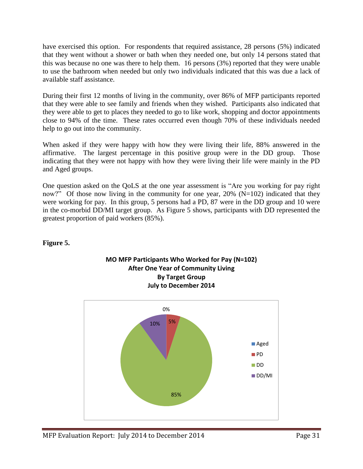have exercised this option. For respondents that required assistance, 28 persons (5%) indicated that they went without a shower or bath when they needed one, but only 14 persons stated that this was because no one was there to help them. 16 persons (3%) reported that they were unable to use the bathroom when needed but only two individuals indicated that this was due a lack of available staff assistance.

During their first 12 months of living in the community, over 86% of MFP participants reported that they were able to see family and friends when they wished. Participants also indicated that they were able to get to places they needed to go to like work, shopping and doctor appointments close to 94% of the time. These rates occurred even though 70% of these individuals needed help to go out into the community.

When asked if they were happy with how they were living their life, 88% answered in the affirmative. The largest percentage in this positive group were in the DD group. Those indicating that they were not happy with how they were living their life were mainly in the PD and Aged groups.

One question asked on the QoLS at the one year assessment is "Are you working for pay right now?" Of those now living in the community for one year,  $20\%$  (N=102) indicated that they were working for pay. In this group, 5 persons had a PD, 87 were in the DD group and 10 were in the co-morbid DD/MI target group. As Figure 5 shows, participants with DD represented the greatest proportion of paid workers (85%).

#### **Figure 5.**



## **MO MFP Participants Who Worked for Pay (N=102) After One Year of Community Living By Target Group July to December 2014**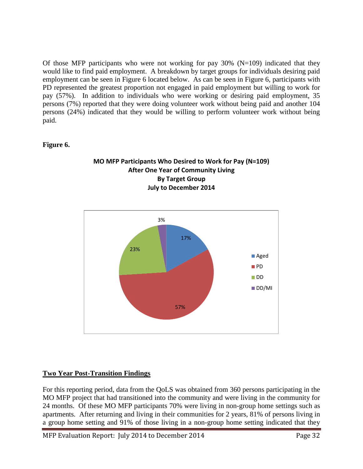Of those MFP participants who were not working for pay  $30\%$  (N=109) indicated that they would like to find paid employment. A breakdown by target groups for individuals desiring paid employment can be seen in Figure 6 located below. As can be seen in Figure 6, participants with PD represented the greatest proportion not engaged in paid employment but willing to work for pay (57%). In addition to individuals who were working or desiring paid employment, 35 persons (7%) reported that they were doing volunteer work without being paid and another 104 persons (24%) indicated that they would be willing to perform volunteer work without being paid.

### **Figure 6.**





### **Two Year Post-Transition Findings**

For this reporting period, data from the QoLS was obtained from 360 persons participating in the MO MFP project that had transitioned into the community and were living in the community for 24 months. Of these MO MFP participants 70% were living in non-group home settings such as apartments. After returning and living in their communities for 2 years, 81% of persons living in a group home setting and 91% of those living in a non-group home setting indicated that they

MFP Evaluation Report: July 2014 to December 2014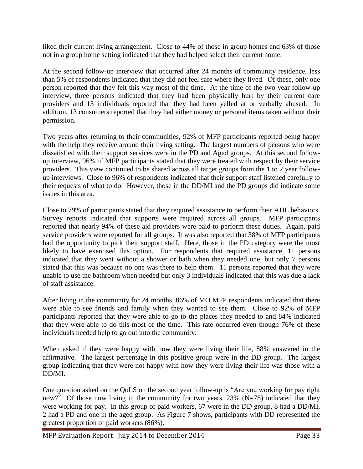liked their current living arrangement. Close to 44% of those in group homes and 63% of those not in a group home setting indicated that they had helped select their current home.

At the second follow-up interview that occurred after 24 months of community residence, less than 5% of respondents indicated that they did not feel safe where they lived. Of these, only one person reported that they felt this way most of the time. At the time of the two year follow-up interview, three persons indicated that they had been physically hurt by their current care providers and 13 individuals reported that they had been yelled at or verbally abused. In addition, 13 consumers reported that they had either money or personal items taken without their permission.

Two years after returning to their communities, 92% of MFP participants reported being happy with the help they receive around their living setting. The largest numbers of persons who were dissatisfied with their support services were in the PD and Aged groups. At this second followup interview, 96% of MFP participants stated that they were treated with respect by their service providers. This view continued to be shared across all target groups from the 1 to 2 year followup interviews. Close to 96% of respondents indicated that their support staff listened carefully to their requests of what to do. However, those in the DD/MI and the PD groups did indicate some issues in this area.

Close to 79% of participants stated that they required assistance to perform their ADL behaviors. Survey reports indicated that supports were required across all groups. MFP participants reported that nearly 94% of these aid providers were paid to perform these duties. Again, paid service providers were reported for all groups. It was also reported that 38% of MFP participants had the opportunity to pick their support staff. Here, those in the PD category were the most likely to have exercised this option. For respondents that required assistance, 11 persons indicated that they went without a shower or bath when they needed one, but only 7 persons stated that this was because no one was there to help them. 11 persons reported that they were unable to use the bathroom when needed but only 3 individuals indicated that this was due a lack of staff assistance.

After living in the community for 24 months, 86% of MO MFP respondents indicated that there were able to see friends and family when they wanted to see them. Close to 92% of MFP participants reported that they were able to go to the places they needed to and 84% indicated that they were able to do this most of the time. This rate occurred even though 76% of these individuals needed help to go out into the community.

When asked if they were happy with how they were living their life, 88% answered in the affirmative. The largest percentage in this positive group were in the DD group. The largest group indicating that they were not happy with how they were living their life was those with a DD/MI.

One question asked on the QoLS on the second year follow-up is "Are you working for pay right now?" Of those now living in the community for two years, 23% (N=78) indicated that they were working for pay. In this group of paid workers, 67 were in the DD group, 8 had a DD/MI, 2 had a PD and one in the aged group. As Figure 7 shows, participants with DD represented the greatest proportion of paid workers (86%).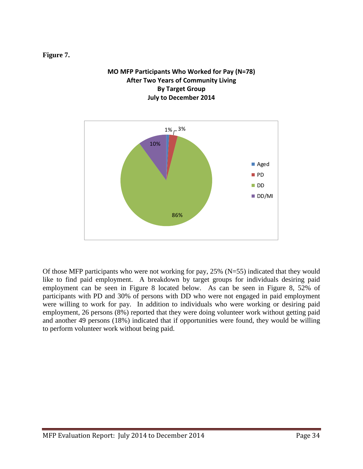#### **Figure 7.**

#### **MO MFP Participants Who Worked for Pay (N=78) After Two Years of Community Living By Target Group July to December 2014**



Of those MFP participants who were not working for pay, 25% (N=55) indicated that they would like to find paid employment. A breakdown by target groups for individuals desiring paid employment can be seen in Figure 8 located below. As can be seen in Figure 8, 52% of participants with PD and 30% of persons with DD who were not engaged in paid employment were willing to work for pay. In addition to individuals who were working or desiring paid employment, 26 persons (8%) reported that they were doing volunteer work without getting paid and another 49 persons (18%) indicated that if opportunities were found, they would be willing to perform volunteer work without being paid.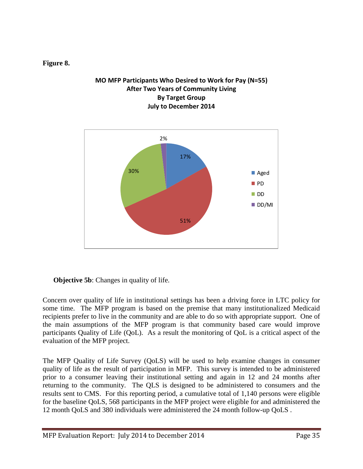#### **Figure 8.**

#### **MO MFP Participants Who Desired to Work for Pay (N=55) After Two Years of Community Living By Target Group July to December 2014**



### **Objective 5b:** Changes in quality of life.

Concern over quality of life in institutional settings has been a driving force in LTC policy for some time. The MFP program is based on the premise that many institutionalized Medicaid recipients prefer to live in the community and are able to do so with appropriate support. One of the main assumptions of the MFP program is that community based care would improve participants Quality of Life (QoL). As a result the monitoring of QoL is a critical aspect of the evaluation of the MFP project.

The MFP Quality of Life Survey (QoLS) will be used to help examine changes in consumer quality of life as the result of participation in MFP. This survey is intended to be administered prior to a consumer leaving their institutional setting and again in 12 and 24 months after returning to the community. The QLS is designed to be administered to consumers and the results sent to CMS. For this reporting period, a cumulative total of 1,140 persons were eligible for the baseline QoLS, 568 participants in the MFP project were eligible for and administered the 12 month QoLS and 380 individuals were administered the 24 month follow-up QoLS .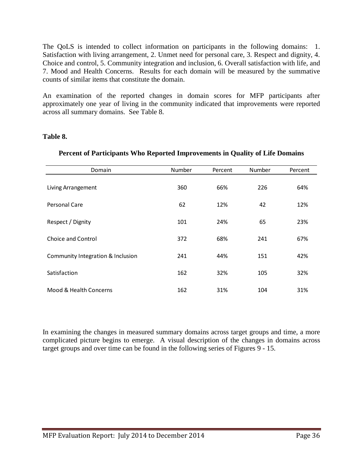The QoLS is intended to collect information on participants in the following domains: 1. Satisfaction with living arrangement, 2. Unmet need for personal care, 3. Respect and dignity, 4. Choice and control, 5. Community integration and inclusion, 6. Overall satisfaction with life, and 7. Mood and Health Concerns. Results for each domain will be measured by the summative counts of similar items that constitute the domain.

An examination of the reported changes in domain scores for MFP participants after approximately one year of living in the community indicated that improvements were reported across all summary domains. See Table 8.

#### **Table 8.**

| Domain                            | Number | Percent | Number | Percent |
|-----------------------------------|--------|---------|--------|---------|
| Living Arrangement                | 360    | 66%     | 226    | 64%     |
| Personal Care                     | 62     | 12%     | 42     | 12%     |
| Respect / Dignity                 | 101    | 24%     | 65     | 23%     |
| Choice and Control                | 372    | 68%     | 241    | 67%     |
| Community Integration & Inclusion | 241    | 44%     | 151    | 42%     |
| Satisfaction                      | 162    | 32%     | 105    | 32%     |
| Mood & Health Concerns            | 162    | 31%     | 104    | 31%     |

### **Percent of Participants Who Reported Improvements in Quality of Life Domains**

In examining the changes in measured summary domains across target groups and time, a more complicated picture begins to emerge. A visual description of the changes in domains across target groups and over time can be found in the following series of Figures 9 - 15.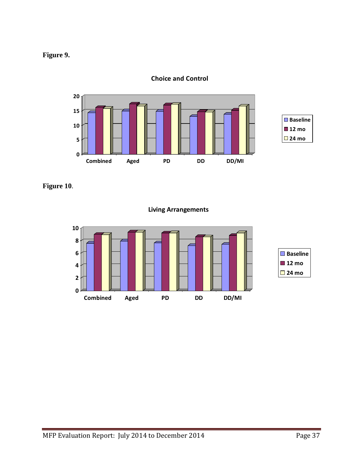



**Choice and Control**

**Figure 10**.

**Living Arrangements**

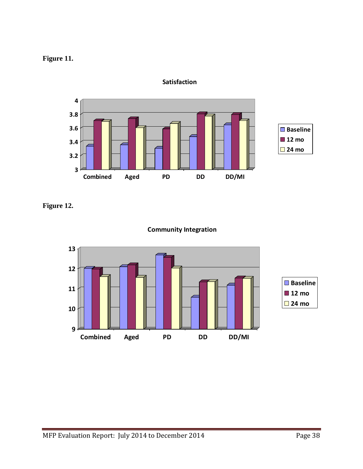



**Satisfaction**

**Figure 12.**



### **Community Integration**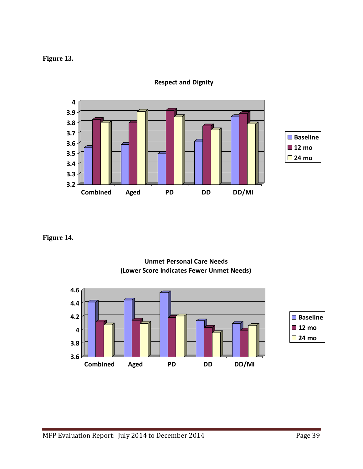## **Figure 13.**



**Respect and Dignity**

### **Figure 14.**



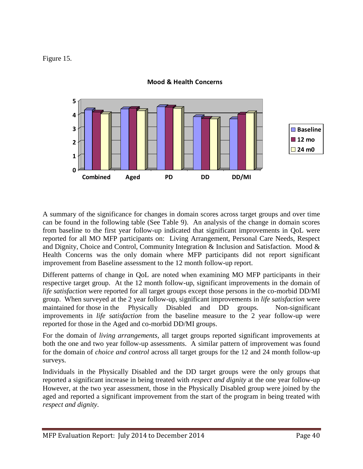Figure 15.



**Mood & Health Concerns**

A summary of the significance for changes in domain scores across target groups and over time can be found in the following table (See Table 9). An analysis of the change in domain scores from baseline to the first year follow-up indicated that significant improvements in QoL were reported for all MO MFP participants on: Living Arrangement, Personal Care Needs, Respect and Dignity, Choice and Control, Community Integration & Inclusion and Satisfaction. Mood  $\&$ Health Concerns was the only domain where MFP participants did not report significant improvement from Baseline assessment to the 12 month follow-up report.

Different patterns of change in QoL are noted when examining MO MFP participants in their respective target group. At the 12 month follow-up, significant improvements in the domain of *life satisfaction* were reported for all target groups except those persons in the co-morbid DD/MI group. When surveyed at the 2 year follow-up, significant improvements in *life satisfaction* were maintained for those in the Physically Disabled and DD groups. Non-significant improvements in *life satisfaction* from the baseline measure to the 2 year follow-up were reported for those in the Aged and co-morbid DD/MI groups.

For the domain of *living arrangements*, all target groups reported significant improvements at both the one and two year follow-up assessments. A similar pattern of improvement was found for the domain of *choice and control* across all target groups for the 12 and 24 month follow-up surveys.

Individuals in the Physically Disabled and the DD target groups were the only groups that reported a significant increase in being treated with *respect and dignity* at the one year follow-up However, at the two year assessment, those in the Physically Disabled group were joined by the aged and reported a significant improvement from the start of the program in being treated with *respect and dignity*.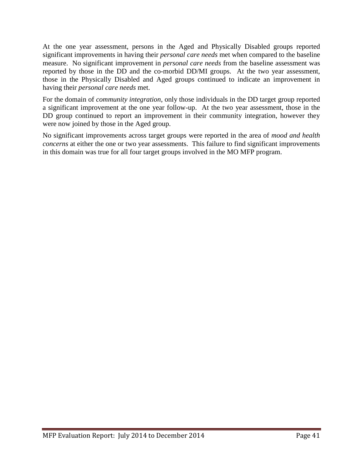At the one year assessment, persons in the Aged and Physically Disabled groups reported significant improvements in having their *personal care needs* met when compared to the baseline measure. No significant improvement in *personal care needs* from the baseline assessment was reported by those in the DD and the co-morbid DD/MI groups. At the two year assessment, those in the Physically Disabled and Aged groups continued to indicate an improvement in having their *personal care needs* met.

For the domain of *community integration*, only those individuals in the DD target group reported a significant improvement at the one year follow-up. At the two year assessment, those in the DD group continued to report an improvement in their community integration, however they were now joined by those in the Aged group.

No significant improvements across target groups were reported in the area of *mood and health concerns* at either the one or two year assessments. This failure to find significant improvements in this domain was true for all four target groups involved in the MO MFP program.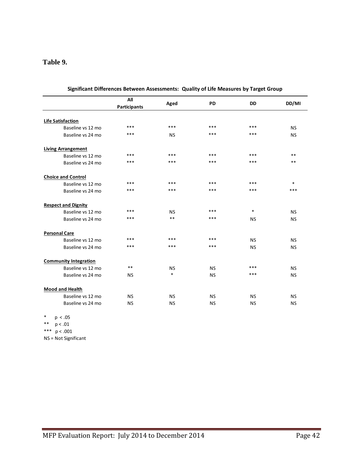#### **Table 9.**

|                              | All                 |           |           |           |           |
|------------------------------|---------------------|-----------|-----------|-----------|-----------|
|                              | <b>Participants</b> | Aged      | <b>PD</b> | <b>DD</b> | DD/MI     |
| <b>Life Satisfaction</b>     |                     |           |           |           |           |
| Baseline vs 12 mo            | ***                 | ***       | ***       | ***       | <b>NS</b> |
| Baseline vs 24 mo            | ***                 | NS        | ***       | ***       | <b>NS</b> |
| <b>Living Arrangement</b>    |                     |           |           |           |           |
| Baseline vs 12 mo            | ***                 | ***       | ***       | ***       | **        |
| Baseline vs 24 mo            | ***                 | ***       | ***       | ***       | **        |
| <b>Choice and Control</b>    |                     |           |           |           |           |
| Baseline vs 12 mo            | ***                 | ***       | ***       | ***       | *         |
| Baseline vs 24 mo            | ***                 | ***       | ***       | ***       | ***       |
| <b>Respect and Dignity</b>   |                     |           |           |           |           |
| Baseline vs 12 mo            | ***                 | <b>NS</b> | ***       | $\ast$    | <b>NS</b> |
| Baseline vs 24 mo            | ***                 | $**$      | ***       | <b>NS</b> | <b>NS</b> |
| <b>Personal Care</b>         |                     |           |           |           |           |
| Baseline vs 12 mo            | ***                 | ***       | ***       | <b>NS</b> | NS.       |
| Baseline vs 24 mo            | ***                 | ***       | ***       | <b>NS</b> | <b>NS</b> |
| <b>Community Integration</b> |                     |           |           |           |           |
| Baseline vs 12 mo            | $* *$               | <b>NS</b> | NS.       | ***       | NS.       |
| Baseline vs 24 mo            | NS                  | $*$       | <b>NS</b> | ***       | <b>NS</b> |
| <b>Mood and Health</b>       |                     |           |           |           |           |
| Baseline vs 12 mo            | <b>NS</b>           | NS        | NS.       | NS        | ΝS        |
| Baseline vs 24 mo            | NS                  | NS        | NS.       | <b>NS</b> | NS.       |

\* p < .05

\*\*  $p < .01$ 

\*\*\*  $p < .001$ 

NS = Not Significant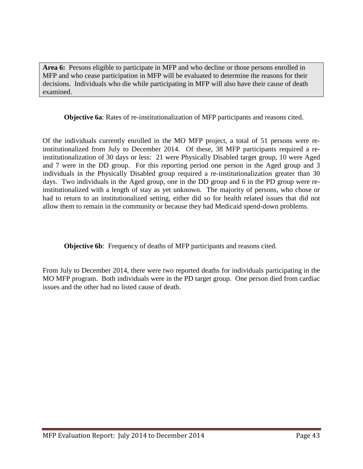**Area 6:** Persons eligible to participate in MFP and who decline or those persons enrolled in MFP and who cease participation in MFP will be evaluated to determine the reasons for their decisions. Individuals who die while participating in MFP will also have their cause of death examined.

**Objective 6a**: Rates of re-institutionalization of MFP participants and reasons cited.

Of the individuals currently enrolled in the MO MFP project, a total of 51 persons were reinstitutionalized from July to December 2014. Of these, 38 MFP participants required a reinstitutionalization of 30 days or less: 21 were Physically Disabled target group, 10 were Aged and 7 were in the DD group. For this reporting period one person in the Aged group and 3 individuals in the Physically Disabled group required a re-institutionalization greater than 30 days. Two individuals in the Aged group, one in the DD group and 6 in the PD group were reinstitutionalized with a length of stay as yet unknown. The majority of persons, who chose or had to return to an institutionalized setting, either did so for health related issues that did not allow them to remain in the community or because they had Medicaid spend-down problems.

**Objective 6b:** Frequency of deaths of MFP participants and reasons cited.

From July to December 2014, there were two reported deaths for individuals participating in the MO MFP program. Both individuals were in the PD target group. One person died from cardiac issues and the other had no listed cause of death.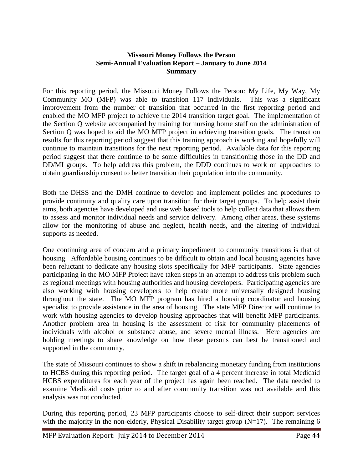#### **Missouri Money Follows the Person Semi-Annual Evaluation Report – January to June 2014 Summary**

For this reporting period, the Missouri Money Follows the Person: My Life, My Way, My Community MO (MFP) was able to transition 117 individuals. This was a significant improvement from the number of transition that occurred in the first reporting period and enabled the MO MFP project to achieve the 2014 transition target goal. The implementation of the Section Q website accompanied by training for nursing home staff on the administration of Section Q was hoped to aid the MO MFP project in achieving transition goals. The transition results for this reporting period suggest that this training approach is working and hopefully will continue to maintain transitions for the next reporting period. Available data for this reporting period suggest that there continue to be some difficulties in transitioning those in the DD and DD/MI groups. To help address this problem, the DDD continues to work on approaches to obtain guardianship consent to better transition their population into the community.

Both the DHSS and the DMH continue to develop and implement policies and procedures to provide continuity and quality care upon transition for their target groups. To help assist their aims, both agencies have developed and use web based tools to help collect data that allows them to assess and monitor individual needs and service delivery. Among other areas, these systems allow for the monitoring of abuse and neglect, health needs, and the altering of individual supports as needed.

One continuing area of concern and a primary impediment to community transitions is that of housing. Affordable housing continues to be difficult to obtain and local housing agencies have been reluctant to dedicate any housing slots specifically for MFP participants. State agencies participating in the MO MFP Project have taken steps in an attempt to address this problem such as regional meetings with housing authorities and housing developers. Participating agencies are also working with housing developers to help create more universally designed housing throughout the state. The MO MFP program has hired a housing coordinator and housing specialist to provide assistance in the area of housing. The state MFP Director will continue to work with housing agencies to develop housing approaches that will benefit MFP participants. Another problem area in housing is the assessment of risk for community placements of individuals with alcohol or substance abuse, and severe mental illness. Here agencies are holding meetings to share knowledge on how these persons can best be transitioned and supported in the community.

The state of Missouri continues to show a shift in rebalancing monetary funding from institutions to HCBS during this reporting period. The target goal of a 4 percent increase in total Medicaid HCBS expenditures for each year of the project has again been reached. The data needed to examine Medicaid costs prior to and after community transition was not available and this analysis was not conducted.

During this reporting period, 23 MFP participants choose to self-direct their support services with the majority in the non-elderly, Physical Disability target group  $(N=17)$ . The remaining 6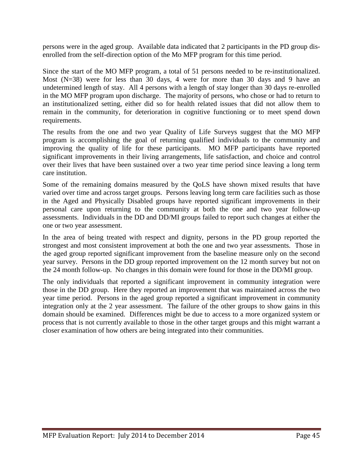persons were in the aged group. Available data indicated that 2 participants in the PD group disenrolled from the self-direction option of the Mo MFP program for this time period.

Since the start of the MO MFP program, a total of 51 persons needed to be re-institutionalized. Most (N=38) were for less than 30 days, 4 were for more than 30 days and 9 have an undetermined length of stay. All 4 persons with a length of stay longer than 30 days re-enrolled in the MO MFP program upon discharge. The majority of persons, who chose or had to return to an institutionalized setting, either did so for health related issues that did not allow them to remain in the community, for deterioration in cognitive functioning or to meet spend down requirements.

The results from the one and two year Quality of Life Surveys suggest that the MO MFP program is accomplishing the goal of returning qualified individuals to the community and improving the quality of life for these participants. MO MFP participants have reported significant improvements in their living arrangements, life satisfaction, and choice and control over their lives that have been sustained over a two year time period since leaving a long term care institution.

Some of the remaining domains measured by the QoLS have shown mixed results that have varied over time and across target groups. Persons leaving long term care facilities such as those in the Aged and Physically Disabled groups have reported significant improvements in their personal care upon returning to the community at both the one and two year follow-up assessments. Individuals in the DD and DD/MI groups failed to report such changes at either the one or two year assessment.

In the area of being treated with respect and dignity, persons in the PD group reported the strongest and most consistent improvement at both the one and two year assessments. Those in the aged group reported significant improvement from the baseline measure only on the second year survey. Persons in the DD group reported improvement on the 12 month survey but not on the 24 month follow-up. No changes in this domain were found for those in the DD/MI group.

The only individuals that reported a significant improvement in community integration were those in the DD group. Here they reported an improvement that was maintained across the two year time period. Persons in the aged group reported a significant improvement in community integration only at the 2 year assessment. The failure of the other groups to show gains in this domain should be examined. Differences might be due to access to a more organized system or process that is not currently available to those in the other target groups and this might warrant a closer examination of how others are being integrated into their communities.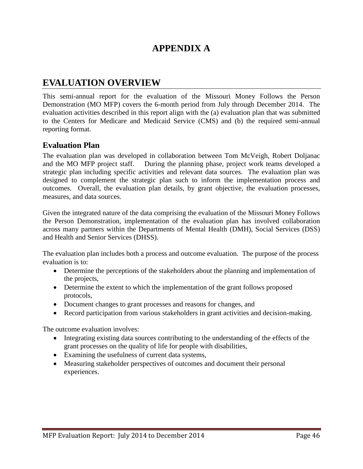## **APPENDIX A**

## **EVALUATION OVERVIEW**

This semi-annual report for the evaluation of the Missouri Money Follows the Person Demonstration (MO MFP) covers the 6-month period from July through December 2014. The evaluation activities described in this report align with the (a) evaluation plan that was submitted to the Centers for Medicare and Medicaid Service (CMS) and (b) the required semi-annual reporting format.

### **Evaluation Plan**

The evaluation plan was developed in collaboration between Tom McVeigh, Robert Doljanac and the MO MFP project staff. During the planning phase, project work teams developed a strategic plan including specific activities and relevant data sources. The evaluation plan was designed to complement the strategic plan such to inform the implementation process and outcomes. Overall, the evaluation plan details, by grant objective, the evaluation processes, measures, and data sources.

Given the integrated nature of the data comprising the evaluation of the Missouri Money Follows the Person Demonstration, implementation of the evaluation plan has involved collaboration across many partners within the Departments of Mental Health (DMH), Social Services (DSS) and Health and Senior Services (DHSS).

The evaluation plan includes both a process and outcome evaluation. The purpose of the process evaluation is to:

- Determine the perceptions of the stakeholders about the planning and implementation of the projects,
- Determine the extent to which the implementation of the grant follows proposed protocols,
- Document changes to grant processes and reasons for changes, and
- Record participation from various stakeholders in grant activities and decision-making.

The outcome evaluation involves:

- Integrating existing data sources contributing to the understanding of the effects of the grant processes on the quality of life for people with disabilities,
- Examining the usefulness of current data systems,
- Measuring stakeholder perspectives of outcomes and document their personal experiences.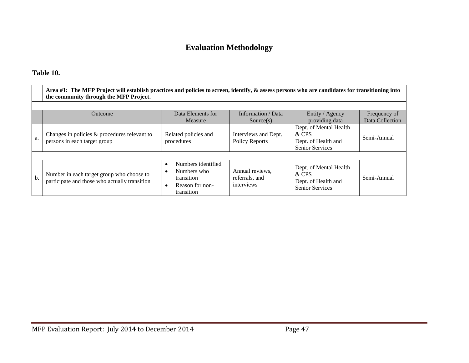## **Evaluation Methodology**

## **Table 10.**

|     | Area #1: The MFP Project will establish practices and policies to screen, identify, & assess persons who are candidates for transitioning into<br>the community through the MFP Project. |                                                                                               |                                                 |                                                                                  |                 |  |  |
|-----|------------------------------------------------------------------------------------------------------------------------------------------------------------------------------------------|-----------------------------------------------------------------------------------------------|-------------------------------------------------|----------------------------------------------------------------------------------|-----------------|--|--|
|     |                                                                                                                                                                                          |                                                                                               |                                                 |                                                                                  |                 |  |  |
|     | Outcome                                                                                                                                                                                  | Data Elements for                                                                             | Information / Data                              | Entity / Agency                                                                  | Frequency of    |  |  |
|     |                                                                                                                                                                                          | Measure                                                                                       | Source(s)                                       | providing data                                                                   | Data Collection |  |  |
| a.  | Changes in policies & procedures relevant to<br>persons in each target group                                                                                                             | Related policies and<br>procedures                                                            | Interviews and Dept.<br><b>Policy Reports</b>   | Dept. of Mental Health<br>& CPS<br>Dept. of Health and<br><b>Senior Services</b> | Semi-Annual     |  |  |
|     |                                                                                                                                                                                          |                                                                                               |                                                 |                                                                                  |                 |  |  |
| $b$ | Number in each target group who choose to<br>participate and those who actually transition                                                                                               | Numbers identified<br>$\bullet$<br>Numbers who<br>transition<br>Reason for non-<br>transition | Annual reviews,<br>referrals, and<br>interviews | Dept. of Mental Health<br>& CPS<br>Dept. of Health and<br><b>Senior Services</b> | Semi-Annual     |  |  |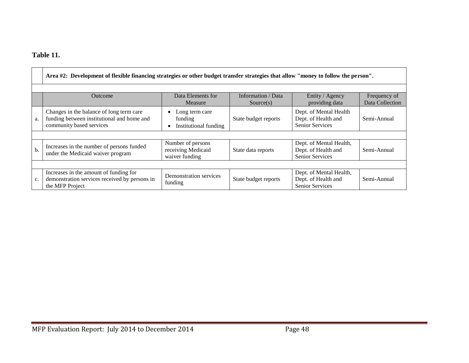## **Table 11.**

|    | Area #2: Development of flexible financing strategies or other budget transfer strategies that allow "money to follow the person". |                                                           |                                 |                                                                          |                                 |  |  |  |
|----|------------------------------------------------------------------------------------------------------------------------------------|-----------------------------------------------------------|---------------------------------|--------------------------------------------------------------------------|---------------------------------|--|--|--|
|    |                                                                                                                                    |                                                           |                                 |                                                                          |                                 |  |  |  |
|    | <b>Outcome</b>                                                                                                                     | Data Elements for<br>Measure                              | Information / Data<br>Source(s) | Entity / Agency<br>providing data                                        | Frequency of<br>Data Collection |  |  |  |
| a. | Changes in the balance of long term care<br>funding between institutional and home and<br>community based services                 | Long term care<br>funding<br>Institutional funding        | State budget reports            | Dept. of Mental Health<br>Dept. of Health and<br>Senior Services         | Semi-Annual                     |  |  |  |
|    |                                                                                                                                    |                                                           |                                 |                                                                          |                                 |  |  |  |
| b. | Increases in the number of persons funded<br>under the Medicaid waiver program                                                     | Number of persons<br>receiving Medicaid<br>waiver funding | State data reports              | Dept. of Mental Health,<br>Dept. of Health and<br><b>Senior Services</b> | Semi-Annual                     |  |  |  |
|    |                                                                                                                                    |                                                           |                                 |                                                                          |                                 |  |  |  |
| c. | Increases in the amount of funding for<br>demonstration services received by persons in<br>the MFP Project                         | Demonstration services<br>funding                         | State budget reports            | Dept. of Mental Health,<br>Dept. of Health and<br><b>Senior Services</b> | Semi-Annual                     |  |  |  |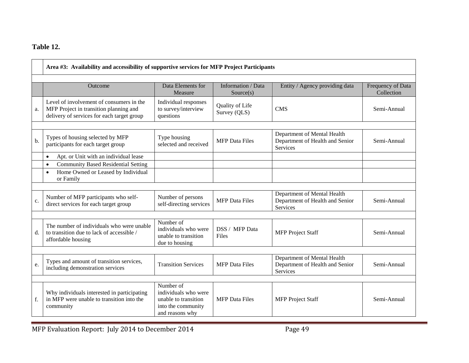## **Table 12.**

|    | Area #3: Availability and accessibility of supportive services for MFP Project Participants                                      |                                                                                                    |                                 |                                                                                   |                                 |  |  |
|----|----------------------------------------------------------------------------------------------------------------------------------|----------------------------------------------------------------------------------------------------|---------------------------------|-----------------------------------------------------------------------------------|---------------------------------|--|--|
|    | <b>Outcome</b>                                                                                                                   | Data Elements for<br>Measure                                                                       | Information / Data<br>Source(s) | Entity / Agency providing data                                                    | Frequency of Data<br>Collection |  |  |
| a. | Level of involvement of consumers in the<br>MFP Project in transition planning and<br>delivery of services for each target group | Individual responses<br>to survey/interview<br>questions                                           | Quality of Life<br>Survey (QLS) | <b>CMS</b>                                                                        | Semi-Annual                     |  |  |
| b. | Types of housing selected by MFP<br>participants for each target group                                                           | Type housing<br>selected and received                                                              | <b>MFP</b> Data Files           | Department of Mental Health<br>Department of Health and Senior<br>Services        | Semi-Annual                     |  |  |
|    | Apt. or Unit with an individual lease<br>$\bullet$                                                                               |                                                                                                    |                                 |                                                                                   |                                 |  |  |
|    | <b>Community Based Residential Setting</b><br>$\bullet$<br>Home Owned or Leased by Individual<br>$\bullet$<br>or Family          |                                                                                                    |                                 |                                                                                   |                                 |  |  |
|    |                                                                                                                                  |                                                                                                    |                                 |                                                                                   |                                 |  |  |
| c. | Number of MFP participants who self-<br>direct services for each target group                                                    | Number of persons<br>self-directing services                                                       | <b>MFP</b> Data Files           | Department of Mental Health<br>Department of Health and Senior<br><b>Services</b> | Semi-Annual                     |  |  |
|    |                                                                                                                                  |                                                                                                    |                                 |                                                                                   |                                 |  |  |
| d. | The number of individuals who were unable<br>to transition due to lack of accessible /<br>affordable housing                     | Number of<br>individuals who were<br>unable to transition<br>due to housing                        | DSS / MFP Data<br>Files         | <b>MFP</b> Project Staff                                                          | Semi-Annual                     |  |  |
|    |                                                                                                                                  |                                                                                                    |                                 |                                                                                   |                                 |  |  |
| e. | Types and amount of transition services,<br>including demonstration services                                                     | <b>Transition Services</b>                                                                         | <b>MFP</b> Data Files           | Department of Mental Health<br>Department of Health and Senior<br><b>Services</b> | Semi-Annual                     |  |  |
|    |                                                                                                                                  |                                                                                                    |                                 |                                                                                   |                                 |  |  |
| f. | Why individuals interested in participating<br>in MFP were unable to transition into the<br>community                            | Number of<br>individuals who were<br>unable to transition<br>into the community<br>and reasons why | <b>MFP</b> Data Files           | <b>MFP</b> Project Staff                                                          | Semi-Annual                     |  |  |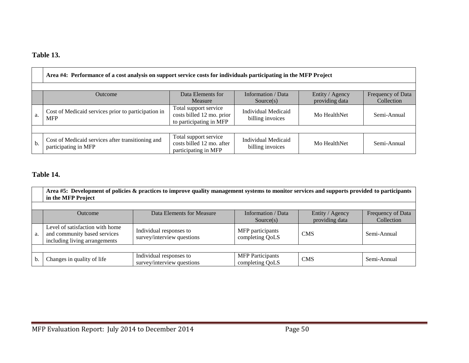## **Table 13.**

|     | Area #4: Performance of a cost analysis on support service costs for individuals participating in the MFP Project                                         |                                                                               |                                                |              |             |  |  |  |
|-----|-----------------------------------------------------------------------------------------------------------------------------------------------------------|-------------------------------------------------------------------------------|------------------------------------------------|--------------|-------------|--|--|--|
|     | Data Elements for<br>Entity / Agency<br>Information / Data<br>Frequency of Data<br><b>Outcome</b><br>providing data<br>Collection<br>Measure<br>Source(s) |                                                                               |                                                |              |             |  |  |  |
| a.  | Cost of Medicaid services prior to participation in<br><b>MFP</b>                                                                                         | Total support service<br>costs billed 12 mo. prior<br>to participating in MFP | <b>Individual Medicaid</b><br>billing invoices | Mo HealthNet | Semi-Annual |  |  |  |
|     |                                                                                                                                                           |                                                                               |                                                |              |             |  |  |  |
| $b$ | Cost of Medicaid services after transitioning and<br>participating in MFP                                                                                 | Total support service<br>costs billed 12 mo. after<br>participating in MFP    | Individual Medicaid<br>billing invoices        | Mo HealthNet | Semi-Annual |  |  |  |

## **Table 14.**

|    | Area #5: Development of policies & practices to improve quality management systems to monitor services and supports provided to participants<br>in the MFP Project |                                                       |                                            |            |             |  |  |  |  |
|----|--------------------------------------------------------------------------------------------------------------------------------------------------------------------|-------------------------------------------------------|--------------------------------------------|------------|-------------|--|--|--|--|
|    | Information / Data<br>Data Elements for Measure<br>Frequency of Data<br>Entity / Agency<br>Outcome<br>providing data<br>Collection<br>Source(s)                    |                                                       |                                            |            |             |  |  |  |  |
| a. | Level of satisfaction with home<br>and community based services<br>including living arrangements                                                                   | Individual responses to<br>survey/interview questions | MFP participants<br>completing QoLS        | <b>CMS</b> | Semi-Annual |  |  |  |  |
|    |                                                                                                                                                                    |                                                       |                                            |            |             |  |  |  |  |
| b. | Changes in quality of life                                                                                                                                         | Individual responses to<br>survey/interview questions | <b>MFP</b> Participants<br>completing QoLS | <b>CMS</b> | Semi-Annual |  |  |  |  |